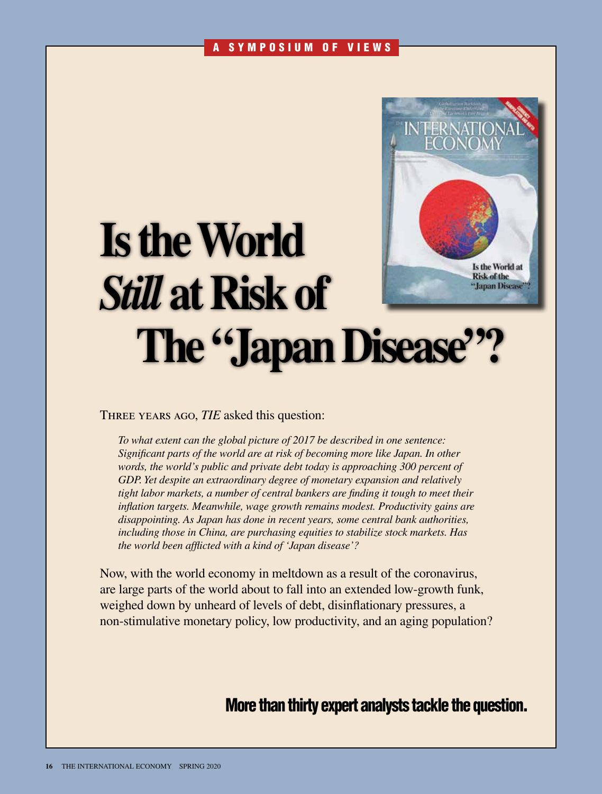#### A SYMPOSIUM OF VIEWS



# **Is the World**  *Still* **at Risk of The "Japan Disease"**

Three years ago, *TIE* asked this question:

*To what extent can the global picture of 2017 be described in one sentence: Significant parts of the world are at risk of becoming more like Japan. In other*  words, the world's public and private debt today is approaching 300 percent of *GDP. Yet despite an extraordinary degree of monetary expansion and relatively tight labor markets, a number of central bankers are finding it tough to meet their inflation targets. Meanwhile, wage growth remains modest. Productivity gains are disappointing. As Japan has done in recent years, some central bank authorities, including those in China, are purchasing equities to stabilize stock markets. Has the world been afflicted with a kind of 'Japan disease'?*

Now, with the world economy in meltdown as a result of the coronavirus, are large parts of the world about to fall into an extended low-growth funk, weighed down by unheard of levels of debt, disinflationary pressures, a non-stimulative monetary policy, low productivity, and an aging population?

More than thirty expert analysts tackle the question.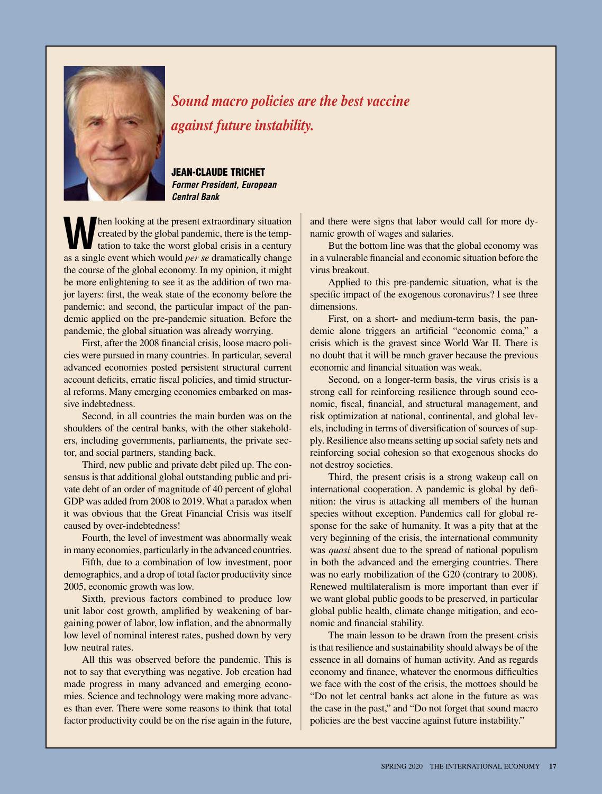

*Sound macro policies are the best vaccine against future instability.*

JEAN-CLAUDE TRICHET *Former President, European Central Bank*

**When looking at the present extraordinary situation**<br>
tation to take the worst global crisis in a century<br>
as a single virtual to the worst global crisis in a century created by the global pandemic, there is the tempas a single event which would *per se* dramatically change the course of the global economy. In my opinion, it might be more enlightening to see it as the addition of two major layers: first, the weak state of the economy before the pandemic; and second, the particular impact of the pandemic applied on the pre-pandemic situation. Before the pandemic, the global situation was already worrying.

First, after the 2008 financial crisis, loose macro policies were pursued in many countries. In particular, several advanced economies posted persistent structural current account deficits, erratic fiscal policies, and timid structural reforms. Many emerging economies embarked on massive indebtedness.

Second, in all countries the main burden was on the shoulders of the central banks, with the other stakeholders, including governments, parliaments, the private sector, and social partners, standing back.

Third, new public and private debt piled up. The consensus is that additional global outstanding public and private debt of an order of magnitude of 40 percent of global GDP was added from 2008 to 2019. What a paradox when it was obvious that the Great Financial Crisis was itself caused by over-indebtedness!

Fourth, the level of investment was abnormally weak in many economies, particularly in the advanced countries.

Fifth, due to a combination of low investment, poor demographics, and a drop of total factor productivity since 2005, economic growth was low.

Sixth, previous factors combined to produce low unit labor cost growth, amplified by weakening of bargaining power of labor, low inflation, and the abnormally low level of nominal interest rates, pushed down by very low neutral rates.

All this was observed before the pandemic. This is not to say that everything was negative. Job creation had made progress in many advanced and emerging economies. Science and technology were making more advances than ever. There were some reasons to think that total factor productivity could be on the rise again in the future,

and there were signs that labor would call for more dynamic growth of wages and salaries.

But the bottom line was that the global economy was in a vulnerable financial and economic situation before the virus breakout.

Applied to this pre-pandemic situation, what is the specific impact of the exogenous coronavirus? I see three dimensions.

First, on a short- and medium-term basis, the pandemic alone triggers an artificial "economic coma," a crisis which is the gravest since World War II. There is no doubt that it will be much graver because the previous economic and financial situation was weak.

Second, on a longer-term basis, the virus crisis is a strong call for reinforcing resilience through sound economic, fiscal, financial, and structural management, and risk optimization at national, continental, and global levels, including in terms of diversification of sources of supply. Resilience also means setting up social safety nets and reinforcing social cohesion so that exogenous shocks do not destroy societies.

Third, the present crisis is a strong wakeup call on international cooperation. A pandemic is global by definition: the virus is attacking all members of the human species without exception. Pandemics call for global response for the sake of humanity. It was a pity that at the very beginning of the crisis, the international community was *quasi* absent due to the spread of national populism in both the advanced and the emerging countries. There was no early mobilization of the G20 (contrary to 2008). Renewed multilateralism is more important than ever if we want global public goods to be preserved, in particular global public health, climate change mitigation, and economic and financial stability.

The main lesson to be drawn from the present crisis is that resilience and sustainability should always be of the essence in all domains of human activity. And as regards economy and finance, whatever the enormous difficulties we face with the cost of the crisis, the mottoes should be "Do not let central banks act alone in the future as was the case in the past," and "Do not forget that sound macro policies are the best vaccine against future instability."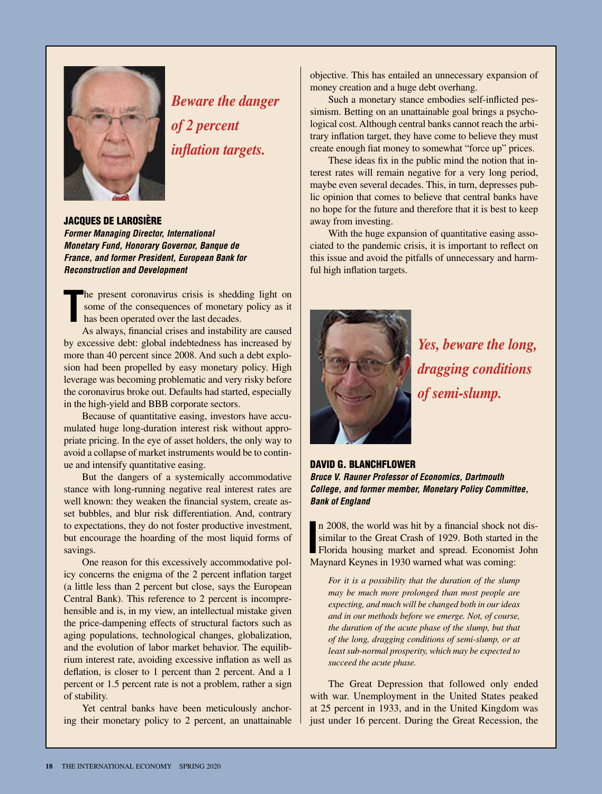

*Beware the danger of 2 percent inflation targets.*

JACQUES DE LAROSIÈRE *Former Managing Director, International Monetary Fund, Honorary Governor, Banque de France, and former President, European Bank for Reconstruction and Development*

**T** he present coronavirus crisis is shedding light on some of the consequences of monetary policy as it has been operated over the last decades.

As always, financial crises and instability are caused by excessive debt: global indebtedness has increased by more than 40 percent since 2008. And such a debt explosion had been propelled by easy monetary policy. High leverage was becoming problematic and very risky before the coronavirus broke out. Defaults had started, especially in the high-yield and BBB corporate sectors.

Because of quantitative easing, investors have accumulated huge long-duration interest risk without appropriate pricing. In the eye of asset holders, the only way to avoid a collapse of market instruments would be to continue and intensify quantitative easing.

But the dangers of a systemically accommodative stance with long-running negative real interest rates are well known: they weaken the financial system, create asset bubbles, and blur risk differentiation. And, contrary to expectations, they do not foster productive investment, but encourage the hoarding of the most liquid forms of savings.

One reason for this excessively accommodative policy concerns the enigma of the 2 percent inflation target (a little less than 2 percent but close, says the European Central Bank). This reference to 2 percent is incomprehensible and is, in my view, an intellectual mistake given the price-dampening effects of structural factors such as aging populations, technological changes, globalization, and the evolution of labor market behavior. The equilibrium interest rate, avoiding excessive inflation as well as deflation, is closer to 1 percent than 2 percent. And a 1 percent or 1.5 percent rate is not a problem, rather a sign of stability.

Yet central banks have been meticulously anchoring their monetary policy to 2 percent, an unattainable objective. This has entailed an unnecessary expansion of money creation and a huge debt overhang.

Such a monetary stance embodies self-inflicted pessimism. Betting on an unattainable goal brings a psychological cost. Although central banks cannot reach the arbitrary inflation target, they have come to believe they must create enough fiat money to somewhat "force up" prices.

These ideas fix in the public mind the notion that interest rates will remain negative for a very long period, maybe even several decades. This, in turn, depresses public opinion that comes to believe that central banks have no hope for the future and therefore that it is best to keep away from investing.

With the huge expansion of quantitative easing associated to the pandemic crisis, it is important to reflect on this issue and avoid the pitfalls of unnecessary and harmful high inflation targets.



*Yes, beware the long, dragging conditions of semi-slump.*

#### DAVID G. BLANCHFLOWER

*Bruce V. Rauner Professor of Economics, Dartmouth College, and former member, Monetary Policy Committee, Bank of England*

In 2008, the world was hit by a financial shock no similar to the Great Crash of 1929. Both started if Florida housing market and spread. Economist Maynard Keynes in 1930 warned what was coming: n 2008, the world was hit by a financial shock not dissimilar to the Great Crash of 1929. Both started in the Florida housing market and spread. Economist John

*For it is a possibility that the duration of the slump may be much more prolonged than most people are expecting, and much will be changed both in our ideas and in our methods before we emerge. Not, of course, the duration of the acute phase of the slump, but that of the long, dragging conditions of semi-slump, or at least sub-normal prosperity, which may be expected to succeed the acute phase.*

The Great Depression that followed only ended with war. Unemployment in the United States peaked at 25 percent in 1933, and in the United Kingdom was just under 16 percent. During the Great Recession, the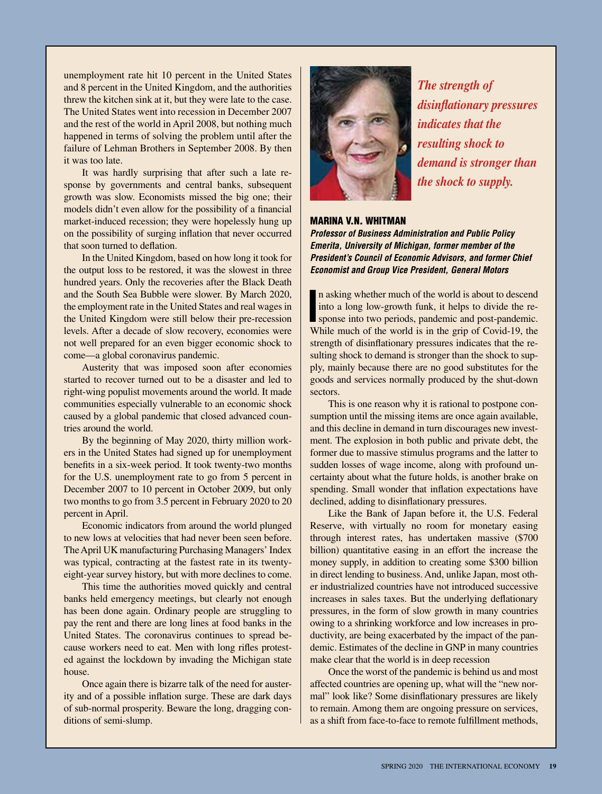unemployment rate hit 10 percent in the United States and 8 percent in the United Kingdom, and the authorities threw the kitchen sink at it, but they were late to the case. The United States went into recession in December 2007 and the rest of the world in April 2008, but nothing much happened in terms of solving the problem until after the failure of Lehman Brothers in September 2008. By then it was too late.

It was hardly surprising that after such a late response by governments and central banks, subsequent growth was slow. Economists missed the big one; their models didn't even allow for the possibility of a financial market-induced recession; they were hopelessly hung up on the possibility of surging inflation that never occurred that soon turned to deflation.

In the United Kingdom, based on how long it took for the output loss to be restored, it was the slowest in three hundred years. Only the recoveries after the Black Death and the South Sea Bubble were slower. By March 2020, the employment rate in the United States and real wages in the United Kingdom were still below their pre-recession levels. After a decade of slow recovery, economies were not well prepared for an even bigger economic shock to come—a global coronavirus pandemic.

Austerity that was imposed soon after economies started to recover turned out to be a disaster and led to right-wing populist movements around the world. It made communities especially vulnerable to an economic shock caused by a global pandemic that closed advanced countries around the world.

By the beginning of May 2020, thirty million workers in the United States had signed up for unemployment benefits in a six-week period. It took twenty-two months for the U.S. unemployment rate to go from 5 percent in December 2007 to 10 percent in October 2009, but only two months to go from 3.5 percent in February 2020 to 20 percent in April.

Economic indicators from around the world plunged to new lows at velocities that had never been seen before. The April UK manufacturing Purchasing Managers' Index was typical, contracting at the fastest rate in its twentyeight-year survey history, but with more declines to come.

This time the authorities moved quickly and central banks held emergency meetings, but clearly not enough has been done again. Ordinary people are struggling to pay the rent and there are long lines at food banks in the United States. The coronavirus continues to spread because workers need to eat. Men with long rifles protested against the lockdown by invading the Michigan state house.

Once again there is bizarre talk of the need for austerity and of a possible inflation surge. These are dark days of sub-normal prosperity. Beware the long, dragging conditions of semi-slump.



*The strength of disinflationary pressures indicates that the resulting shock to demand is stronger than the shock to supply.*

#### MARINA V.N. WHITMAN

*Professor of Business Administration and Public Policy Emerita, University of Michigan, former member of the President's Council of Economic Advisors, and former Chief Economist and Group Vice President, General Motors*

In asking whether much of the world is about to descend into a long low-growth funk, it helps to divide the response into two periods, pandemic and post-pandemic. While much of the world is in the grip of Covid-19, the n asking whether much of the world is about to descend into a long low-growth funk, it helps to divide the response into two periods, pandemic and post-pandemic. strength of disinflationary pressures indicates that the resulting shock to demand is stronger than the shock to supply, mainly because there are no good substitutes for the goods and services normally produced by the shut-down sectors.

This is one reason why it is rational to postpone consumption until the missing items are once again available, and this decline in demand in turn discourages new investment. The explosion in both public and private debt, the former due to massive stimulus programs and the latter to sudden losses of wage income, along with profound uncertainty about what the future holds, is another brake on spending. Small wonder that inflation expectations have declined, adding to disinflationary pressures.

Like the Bank of Japan before it, the U.S. Federal Reserve, with virtually no room for monetary easing through interest rates, has undertaken massive (\$700 billion) quantitative easing in an effort the increase the money supply, in addition to creating some \$300 billion in direct lending to business. And, unlike Japan, most other industrialized countries have not introduced successive increases in sales taxes. But the underlying deflationary pressures, in the form of slow growth in many countries owing to a shrinking workforce and low increases in productivity, are being exacerbated by the impact of the pandemic. Estimates of the decline in GNP in many countries make clear that the world is in deep recession

Once the worst of the pandemic is behind us and most affected countries are opening up, what will the "new normal" look like? Some disinflationary pressures are likely to remain. Among them are ongoing pressure on services, as a shift from face-to-face to remote fulfillment methods,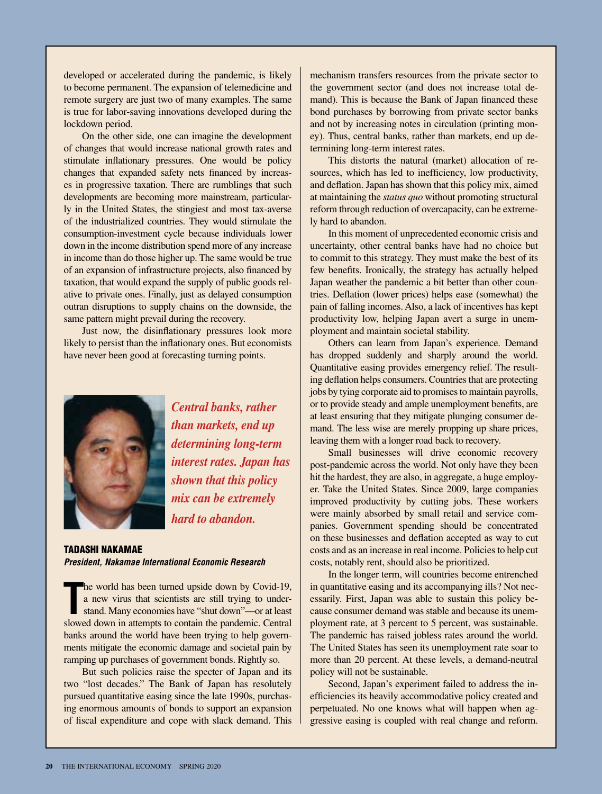developed or accelerated during the pandemic, is likely to become permanent. The expansion of telemedicine and remote surgery are just two of many examples. The same is true for labor-saving innovations developed during the lockdown period.

On the other side, one can imagine the development of changes that would increase national growth rates and stimulate inflationary pressures. One would be policy changes that expanded safety nets financed by increases in progressive taxation. There are rumblings that such developments are becoming more mainstream, particularly in the United States, the stingiest and most tax-averse of the industrialized countries. They would stimulate the consumption-investment cycle because individuals lower down in the income distribution spend more of any increase in income than do those higher up. The same would be true of an expansion of infrastructure projects, also financed by taxation, that would expand the supply of public goods relative to private ones. Finally, just as delayed consumption outran disruptions to supply chains on the downside, the same pattern might prevail during the recovery.

Just now, the disinflationary pressures look more likely to persist than the inflationary ones. But economists have never been good at forecasting turning points.



*Central banks, rather than markets, end up determining long-term interest rates. Japan has shown that this policy mix can be extremely hard to abandon.*

#### TADASHI NAKAMAE *President, Nakamae International Economic Research*

**T** he world has been turned upside down by Covid-19, a new virus that scientists are still trying to understand. Many economies have "shut down"—or at least slowed down in attempts to contain the pandemic. Central banks around the world have been trying to help governments mitigate the economic damage and societal pain by ramping up purchases of government bonds. Rightly so.

But such policies raise the specter of Japan and its two "lost decades." The Bank of Japan has resolutely pursued quantitative easing since the late 1990s, purchasing enormous amounts of bonds to support an expansion of fiscal expenditure and cope with slack demand. This mechanism transfers resources from the private sector to the government sector (and does not increase total demand). This is because the Bank of Japan financed these bond purchases by borrowing from private sector banks and not by increasing notes in circulation (printing money). Thus, central banks, rather than markets, end up determining long-term interest rates.

This distorts the natural (market) allocation of resources, which has led to inefficiency, low productivity, and deflation. Japan has shown that this policy mix, aimed at maintaining the *status quo* without promoting structural reform through reduction of overcapacity, can be extremely hard to abandon.

In this moment of unprecedented economic crisis and uncertainty, other central banks have had no choice but to commit to this strategy. They must make the best of its few benefits. Ironically, the strategy has actually helped Japan weather the pandemic a bit better than other countries. Deflation (lower prices) helps ease (somewhat) the pain of falling incomes. Also, a lack of incentives has kept productivity low, helping Japan avert a surge in unemployment and maintain societal stability.

Others can learn from Japan's experience. Demand has dropped suddenly and sharply around the world. Quantitative easing provides emergency relief. The resulting deflation helps consumers. Countries that are protecting jobs by tying corporate aid to promises to maintain payrolls, or to provide steady and ample unemployment benefits, are at least ensuring that they mitigate plunging consumer demand. The less wise are merely propping up share prices, leaving them with a longer road back to recovery.

Small businesses will drive economic recovery post-pandemic across the world. Not only have they been hit the hardest, they are also, in aggregate, a huge employer. Take the United States. Since 2009, large companies improved productivity by cutting jobs. These workers were mainly absorbed by small retail and service companies. Government spending should be concentrated on these businesses and deflation accepted as way to cut costs and as an increase in real income. Policies to help cut costs, notably rent, should also be prioritized.

In the longer term, will countries become entrenched in quantitative easing and its accompanying ills? Not necessarily. First, Japan was able to sustain this policy because consumer demand was stable and because its unemployment rate, at 3 percent to 5 percent, was sustainable. The pandemic has raised jobless rates around the world. The United States has seen its unemployment rate soar to more than 20 percent. At these levels, a demand-neutral policy will not be sustainable.

Second, Japan's experiment failed to address the inefficiencies its heavily accommodative policy created and perpetuated. No one knows what will happen when aggressive easing is coupled with real change and reform.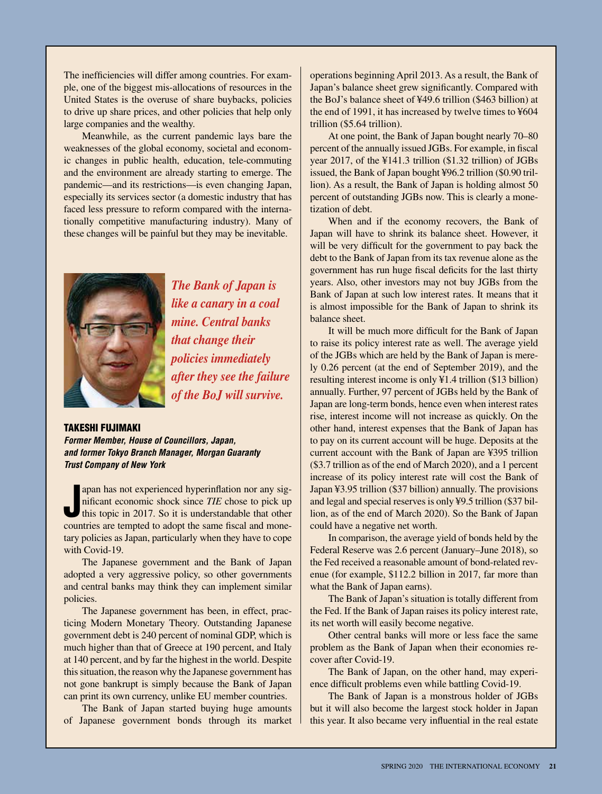The inefficiencies will differ among countries. For example, one of the biggest mis-allocations of resources in the United States is the overuse of share buybacks, policies to drive up share prices, and other policies that help only large companies and the wealthy.

Meanwhile, as the current pandemic lays bare the weaknesses of the global economy, societal and economic changes in public health, education, tele-commuting and the environment are already starting to emerge. The pandemic—and its restrictions—is even changing Japan, especially its services sector (a domestic industry that has faced less pressure to reform compared with the internationally competitive manufacturing industry). Many of these changes will be painful but they may be inevitable.



*The Bank of Japan is like a canary in a coal mine. Central banks that change their policies immediately after they see the failure of the BoJ will survive.*

#### TAKESHI FUJIMAKI

*Former Member, House of Councillors, Japan, and former Tokyo Branch Manager, Morgan Guaranty Trust Company of New York*

apan has not experienced hyperinflation nor any significant economic shock since *TIE* chose to pick up this topic in 2017. So it is understandable that other countries are tempted to adopt the same fiscal and moneapan has not experienced hyperinflation nor any significant economic shock since *TIE* chose to pick up this topic in 2017. So it is understandable that other tary policies as Japan, particularly when they have to cope with Covid-19.

The Japanese government and the Bank of Japan adopted a very aggressive policy, so other governments and central banks may think they can implement similar policies.

The Japanese government has been, in effect, practicing Modern Monetary Theory. Outstanding Japanese government debt is 240 percent of nominal GDP, which is much higher than that of Greece at 190 percent, and Italy at 140 percent, and by far the highest in the world. Despite this situation, the reason why the Japanese government has not gone bankrupt is simply because the Bank of Japan can print its own currency, unlike EU member countries.

The Bank of Japan started buying huge amounts of Japanese government bonds through its market

operations beginning April 2013. As a result, the Bank of Japan's balance sheet grew significantly. Compared with the BoJ's balance sheet of ¥49.6 trillion (\$463 billion) at the end of 1991, it has increased by twelve times to ¥604 trillion (\$5.64 trillion).

At one point, the Bank of Japan bought nearly 70–80 percent of the annually issued JGBs. For example, in fiscal year 2017, of the ¥141.3 trillion (\$1.32 trillion) of JGBs issued, the Bank of Japan bought ¥96.2 trillion (\$0.90 trillion). As a result, the Bank of Japan is holding almost 50 percent of outstanding JGBs now. This is clearly a monetization of debt.

When and if the economy recovers, the Bank of Japan will have to shrink its balance sheet. However, it will be very difficult for the government to pay back the debt to the Bank of Japan from its tax revenue alone as the government has run huge fiscal deficits for the last thirty years. Also, other investors may not buy JGBs from the Bank of Japan at such low interest rates. It means that it is almost impossible for the Bank of Japan to shrink its balance sheet.

It will be much more difficult for the Bank of Japan to raise its policy interest rate as well. The average yield of the JGBs which are held by the Bank of Japan is merely 0.26 percent (at the end of September 2019), and the resulting interest income is only ¥1.4 trillion (\$13 billion) annually. Further, 97 percent of JGBs held by the Bank of Japan are long-term bonds, hence even when interest rates rise, interest income will not increase as quickly. On the other hand, interest expenses that the Bank of Japan has to pay on its current account will be huge. Deposits at the current account with the Bank of Japan are ¥395 trillion (\$3.7 trillion as of the end of March 2020), and a 1 percent increase of its policy interest rate will cost the Bank of Japan ¥3.95 trillion (\$37 billion) annually. The provisions and legal and special reserves is only ¥9.5 trillion (\$37 billion, as of the end of March 2020). So the Bank of Japan could have a negative net worth.

In comparison, the average yield of bonds held by the Federal Reserve was 2.6 percent (January–June 2018), so the Fed received a reasonable amount of bond-related revenue (for example, \$112.2 billion in 2017, far more than what the Bank of Japan earns).

The Bank of Japan's situation is totally different from the Fed. If the Bank of Japan raises its policy interest rate, its net worth will easily become negative.

Other central banks will more or less face the same problem as the Bank of Japan when their economies recover after Covid-19.

The Bank of Japan, on the other hand, may experience difficult problems even while battling Covid-19.

The Bank of Japan is a monstrous holder of JGBs but it will also become the largest stock holder in Japan this year. It also became very influential in the real estate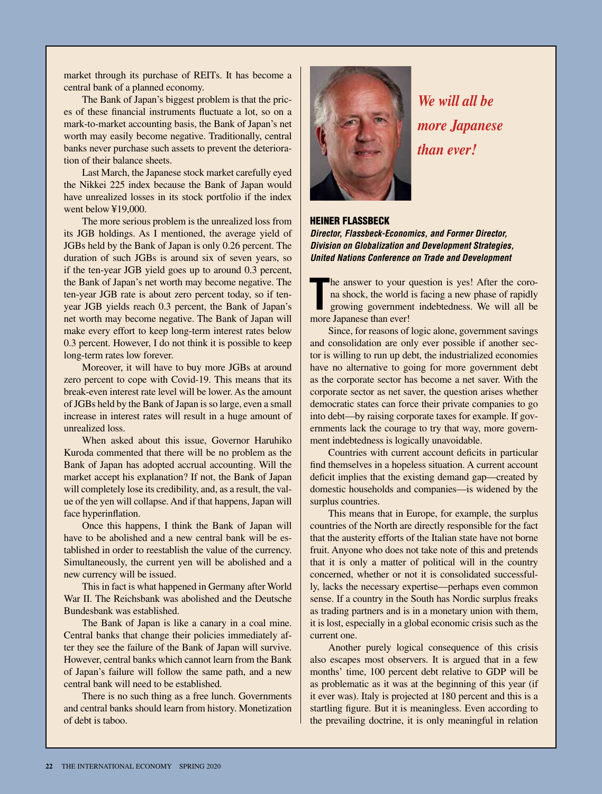market through its purchase of REITs. It has become a central bank of a planned economy.

The Bank of Japan's biggest problem is that the prices of these financial instruments fluctuate a lot, so on a mark-to-market accounting basis, the Bank of Japan's net worth may easily become negative. Traditionally, central banks never purchase such assets to prevent the deterioration of their balance sheets.

Last March, the Japanese stock market carefully eyed the Nikkei 225 index because the Bank of Japan would have unrealized losses in its stock portfolio if the index went below ¥19,000.

The more serious problem is the unrealized loss from its JGB holdings. As I mentioned, the average yield of JGBs held by the Bank of Japan is only 0.26 percent. The duration of such JGBs is around six of seven years, so if the ten-year JGB yield goes up to around 0.3 percent, the Bank of Japan's net worth may become negative. The ten-year JGB rate is about zero percent today, so if tenyear JGB yields reach 0.3 percent, the Bank of Japan's net worth may become negative. The Bank of Japan will make every effort to keep long-term interest rates below 0.3 percent. However, I do not think it is possible to keep long-term rates low forever.

Moreover, it will have to buy more JGBs at around zero percent to cope with Covid-19. This means that its break-even interest rate level will be lower. As the amount of JGBs held by the Bank of Japan is so large, even a small increase in interest rates will result in a huge amount of unrealized loss.

When asked about this issue, Governor Haruhiko Kuroda commented that there will be no problem as the Bank of Japan has adopted accrual accounting. Will the market accept his explanation? If not, the Bank of Japan will completely lose its credibility, and, as a result, the value of the yen will collapse. And if that happens, Japan will face hyperinflation.

Once this happens, I think the Bank of Japan will have to be abolished and a new central bank will be established in order to reestablish the value of the currency. Simultaneously, the current yen will be abolished and a new currency will be issued.

This in fact is what happened in Germany after World War II. The Reichsbank was abolished and the Deutsche Bundesbank was established.

The Bank of Japan is like a canary in a coal mine. Central banks that change their policies immediately after they see the failure of the Bank of Japan will survive. However, central banks which cannot learn from the Bank of Japan's failure will follow the same path, and a new central bank will need to be established.

There is no such thing as a free lunch. Governments and central banks should learn from history. Monetization of debt is taboo.



*We will all be more Japanese than ever!*

#### HEINER FLASSBECK

*Director, Flassbeck-Economics, and Former Director, Division on Globalization and Development Strategies, United Nations Conference on Trade and Development*

The answer to your q<br>
na shock, the world<br>
growing governmen<br>
more Japanese than ever! he answer to your question is yes! After the corona shock, the world is facing a new phase of rapidly growing government indebtedness. We will all be

Since, for reasons of logic alone, government savings and consolidation are only ever possible if another sector is willing to run up debt, the industrialized economies have no alternative to going for more government debt as the corporate sector has become a net saver. With the corporate sector as net saver, the question arises whether democratic states can force their private companies to go into debt—by raising corporate taxes for example. If governments lack the courage to try that way, more government indebtedness is logically unavoidable.

Countries with current account deficits in particular find themselves in a hopeless situation. A current account deficit implies that the existing demand gap—created by domestic households and companies—is widened by the surplus countries.

This means that in Europe, for example, the surplus countries of the North are directly responsible for the fact that the austerity efforts of the Italian state have not borne fruit. Anyone who does not take note of this and pretends that it is only a matter of political will in the country concerned, whether or not it is consolidated successfully, lacks the necessary expertise—perhaps even common sense. If a country in the South has Nordic surplus freaks as trading partners and is in a monetary union with them, it is lost, especially in a global economic crisis such as the current one.

Another purely logical consequence of this crisis also escapes most observers. It is argued that in a few months' time, 100 percent debt relative to GDP will be as problematic as it was at the beginning of this year (if it ever was). Italy is projected at 180 percent and this is a startling figure. But it is meaningless. Even according to the prevailing doctrine, it is only meaningful in relation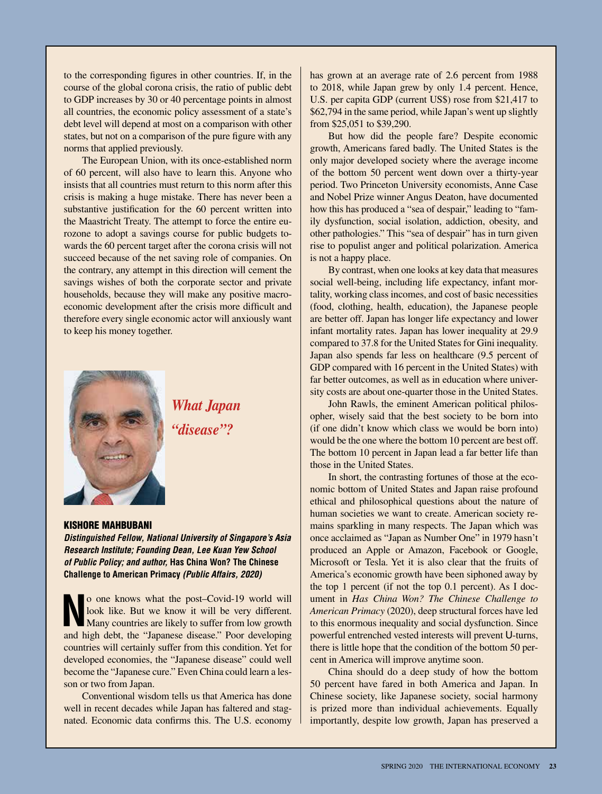to the corresponding figures in other countries. If, in the course of the global corona crisis, the ratio of public debt to GDP increases by 30 or 40 percentage points in almost all countries, the economic policy assessment of a state's debt level will depend at most on a comparison with other states, but not on a comparison of the pure figure with any norms that applied previously.

The European Union, with its once-established norm of 60 percent, will also have to learn this. Anyone who insists that all countries must return to this norm after this crisis is making a huge mistake. There has never been a substantive justification for the 60 percent written into the Maastricht Treaty. The attempt to force the entire eurozone to adopt a savings course for public budgets towards the 60 percent target after the corona crisis will not succeed because of the net saving role of companies. On the contrary, any attempt in this direction will cement the savings wishes of both the corporate sector and private households, because they will make any positive macroeconomic development after the crisis more difficult and therefore every single economic actor will anxiously want to keep his money together.



*What Japan "disease"?*

#### KISHORE MAHBUBANI

*Distinguished Fellow, National University of Singapore's Asia Research Institute; Founding Dean, Lee Kuan Yew School of Public Policy; and author,* **Has China Won? The Chinese Challenge to American Primacy** *(Public Affairs, 2020)*

**No one knows what the post–Covid-19 world will look like. But we know it will be very different.<br>
Many countries are likely to suffer from low growth<br>
and high dabt, the "Inner discover" Door davalants** look like. But we know it will be very different. and high debt, the "Japanese disease." Poor developing countries will certainly suffer from this condition. Yet for developed economies, the "Japanese disease" could well become the "Japanese cure." Even China could learn a lesson or two from Japan.

Conventional wisdom tells us that America has done well in recent decades while Japan has faltered and stagnated. Economic data confirms this. The U.S. economy

has grown at an average rate of 2.6 percent from 1988 to 2018, while Japan grew by only 1.4 percent. Hence, U.S. per capita GDP (current US\$) rose from \$21,417 to \$62,794 in the same period, while Japan's went up slightly from \$25,051 to \$39,290.

But how did the people fare? Despite economic growth, Americans fared badly. The United States is the only major developed society where the average income of the bottom 50 percent went down over a thirty-year period. Two Princeton University economists, Anne Case and Nobel Prize winner Angus Deaton, have documented how this has produced a "sea of despair," leading to "family dysfunction, social isolation, addiction, obesity, and other pathologies." This "sea of despair" has in turn given rise to populist anger and political polarization. America is not a happy place.

By contrast, when one looks at key data that measures social well-being, including life expectancy, infant mortality, working class incomes, and cost of basic necessities (food, clothing, health, education), the Japanese people are better off. Japan has longer life expectancy and lower infant mortality rates. Japan has lower inequality at 29.9 compared to 37.8 for the United States for Gini inequality. Japan also spends far less on healthcare (9.5 percent of GDP compared with 16 percent in the United States) with far better outcomes, as well as in education where university costs are about one-quarter those in the United States.

John Rawls, the eminent American political philosopher, wisely said that the best society to be born into (if one didn't know which class we would be born into) would be the one where the bottom 10 percent are best off. The bottom 10 percent in Japan lead a far better life than those in the United States.

In short, the contrasting fortunes of those at the economic bottom of United States and Japan raise profound ethical and philosophical questions about the nature of human societies we want to create. American society remains sparkling in many respects. The Japan which was once acclaimed as "Japan as Number One" in 1979 hasn't produced an Apple or Amazon, Facebook or Google, Microsoft or Tesla. Yet it is also clear that the fruits of America's economic growth have been siphoned away by the top 1 percent (if not the top 0.1 percent). As I document in *Has China Won? The Chinese Challenge to American Primacy* (2020), deep structural forces have led to this enormous inequality and social dysfunction. Since powerful entrenched vested interests will prevent U-turns, there is little hope that the condition of the bottom 50 percent in America will improve anytime soon.

China should do a deep study of how the bottom 50 percent have fared in both America and Japan. In Chinese society, like Japanese society, social harmony is prized more than individual achievements. Equally importantly, despite low growth, Japan has preserved a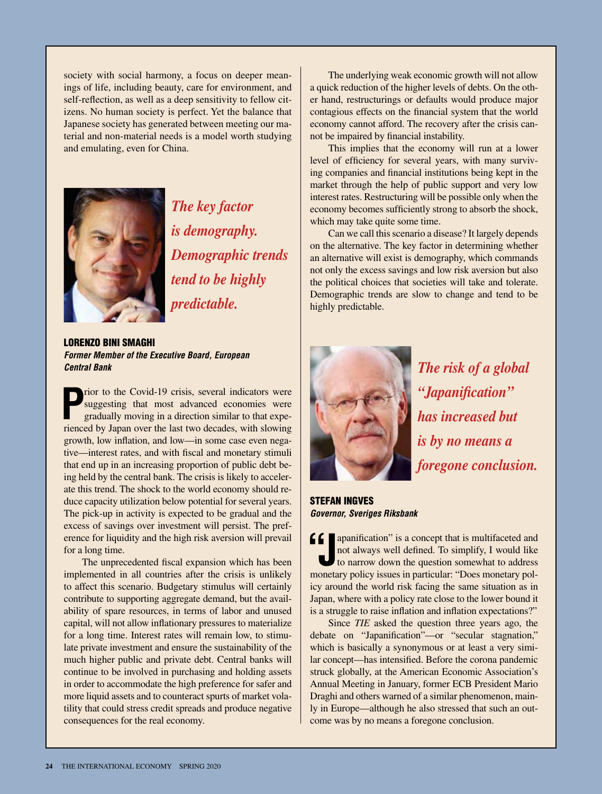society with social harmony, a focus on deeper meanings of life, including beauty, care for environment, and self-reflection, as well as a deep sensitivity to fellow citizens. No human society is perfect. Yet the balance that Japanese society has generated between meeting our material and non-material needs is a model worth studying and emulating, even for China.



*The key factor is demography. Demographic trends tend to be highly predictable.*

LORENZO BINI SMAGHI *Former Member of the Executive Board, European Central Bank*

**P** rior to the Covid-19 crisis, several indicators were suggesting that most advanced economies were gradually moving in a direction similar to that experienced by Japan over the last two decades, with slowing growth, low inflation, and low—in some case even negative—interest rates, and with fiscal and monetary stimuli that end up in an increasing proportion of public debt being held by the central bank. The crisis is likely to accelerate this trend. The shock to the world economy should reduce capacity utilization below potential for several years. The pick-up in activity is expected to be gradual and the excess of savings over investment will persist. The preference for liquidity and the high risk aversion will prevail for a long time.

The unprecedented fiscal expansion which has been implemented in all countries after the crisis is unlikely to affect this scenario. Budgetary stimulus will certainly contribute to supporting aggregate demand, but the availability of spare resources, in terms of labor and unused capital, will not allow inflationary pressures to materialize for a long time. Interest rates will remain low, to stimulate private investment and ensure the sustainability of the much higher public and private debt. Central banks will continue to be involved in purchasing and holding assets in order to accommodate the high preference for safer and more liquid assets and to counteract spurts of market volatility that could stress credit spreads and produce negative consequences for the real economy.

The underlying weak economic growth will not allow a quick reduction of the higher levels of debts. On the other hand, restructurings or defaults would produce major contagious effects on the financial system that the world economy cannot afford. The recovery after the crisis cannot be impaired by financial instability.

This implies that the economy will run at a lower level of efficiency for several years, with many surviving companies and financial institutions being kept in the market through the help of public support and very low interest rates. Restructuring will be possible only when the economy becomes sufficiently strong to absorb the shock, which may take quite some time.

Can we call this scenario a disease? It largely depends on the alternative. The key factor in determining whether an alternative will exist is demography, which commands not only the excess savings and low risk aversion but also the political choices that societies will take and tolerate. Demographic trends are slow to change and tend to be highly predictable.



*The risk of a global "Japanification" has increased but is by no means a foregone conclusion.*

STEFAN INGVES *Governor, Sveriges Riksbank* 

**f f** apanification" is a concept that is multifaceted and not always well defined. To simplify, I would like to narrow down the question somewhat to address apanification" is a concept that is multifaceted and not always well defined. To simplify, I would like monetary policy issues in particular: "Does monetary policy around the world risk facing the same situation as in Japan, where with a policy rate close to the lower bound it is a struggle to raise inflation and inflation expectations?"

Since *TIE* asked the question three years ago, the debate on "Japanification"—or "secular stagnation," which is basically a synonymous or at least a very similar concept—has intensified. Before the corona pandemic struck globally, at the American Economic Association's Annual Meeting in January, former ECB President Mario Draghi and others warned of a similar phenomenon, mainly in Europe—although he also stressed that such an outcome was by no means a foregone conclusion.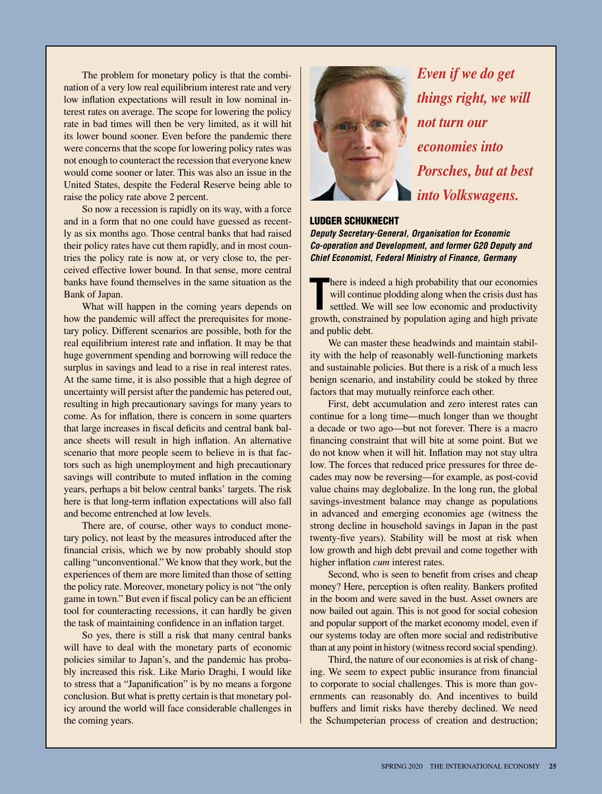The problem for monetary policy is that the combination of a very low real equilibrium interest rate and very low inflation expectations will result in low nominal interest rates on average. The scope for lowering the policy rate in bad times will then be very limited, as it will hit its lower bound sooner. Even before the pandemic there were concerns that the scope for lowering policy rates was not enough to counteract the recession that everyone knew would come sooner or later. This was also an issue in the United States, despite the Federal Reserve being able to raise the policy rate above 2 percent.

So now a recession is rapidly on its way, with a force and in a form that no one could have guessed as recently as six months ago. Those central banks that had raised their policy rates have cut them rapidly, and in most countries the policy rate is now at, or very close to, the perceived effective lower bound. In that sense, more central banks have found themselves in the same situation as the Bank of Japan.

What will happen in the coming years depends on how the pandemic will affect the prerequisites for monetary policy. Different scenarios are possible, both for the real equilibrium interest rate and inflation. It may be that huge government spending and borrowing will reduce the surplus in savings and lead to a rise in real interest rates. At the same time, it is also possible that a high degree of uncertainty will persist after the pandemic has petered out, resulting in high precautionary savings for many years to come. As for inflation, there is concern in some quarters that large increases in fiscal deficits and central bank balance sheets will result in high inflation. An alternative scenario that more people seem to believe in is that factors such as high unemployment and high precautionary savings will contribute to muted inflation in the coming years, perhaps a bit below central banks' targets. The risk here is that long-term inflation expectations will also fall and become entrenched at low levels.

There are, of course, other ways to conduct monetary policy, not least by the measures introduced after the financial crisis, which we by now probably should stop calling "unconventional." We know that they work, but the experiences of them are more limited than those of setting the policy rate. Moreover, monetary policy is not "the only game in town." But even if fiscal policy can be an efficient tool for counteracting recessions, it can hardly be given the task of maintaining confidence in an inflation target.

So yes, there is still a risk that many central banks will have to deal with the monetary parts of economic policies similar to Japan's, and the pandemic has probably increased this risk. Like Mario Draghi, I would like to stress that a "Japanification" is by no means a forgone conclusion. But what is pretty certain is that monetary policy around the world will face considerable challenges in the coming years.



*Even if we do get things right, we will not turn our economies into Porsches, but at best into Volkswagens.*

#### LUDGER SCHUKNECHT

*Deputy Secretary-General, Organisation for Economic Co-operation and Development, and former G20 Deputy and Chief Economist, Federal Ministry of Finance, Germany*

There is indeed a high probability that our economies will continue plodding along when the crisis dust has settled. We will see low economic and productivity growth, constrained by population aging and high private here is indeed a high probability that our economies will continue plodding along when the crisis dust has settled. We will see low economic and productivity and public debt.

We can master these headwinds and maintain stability with the help of reasonably well-functioning markets and sustainable policies. But there is a risk of a much less benign scenario, and instability could be stoked by three factors that may mutually reinforce each other.

First, debt accumulation and zero interest rates can continue for a long time—much longer than we thought a decade or two ago—but not forever. There is a macro financing constraint that will bite at some point. But we do not know when it will hit. Inflation may not stay ultra low. The forces that reduced price pressures for three decades may now be reversing—for example, as post-covid value chains may deglobalize. In the long run, the global savings-investment balance may change as populations in advanced and emerging economies age (witness the strong decline in household savings in Japan in the past twenty-five years). Stability will be most at risk when low growth and high debt prevail and come together with higher inflation *cum* interest rates.

Second, who is seen to benefit from crises and cheap money? Here, perception is often reality. Bankers profited in the boom and were saved in the bust. Asset owners are now bailed out again. This is not good for social cohesion and popular support of the market economy model, even if our systems today are often more social and redistributive than at any point in history (witness record social spending).

Third, the nature of our economies is at risk of changing. We seem to expect public insurance from financial to corporate to social challenges. This is more than governments can reasonably do. And incentives to build buffers and limit risks have thereby declined. We need the Schumpeterian process of creation and destruction;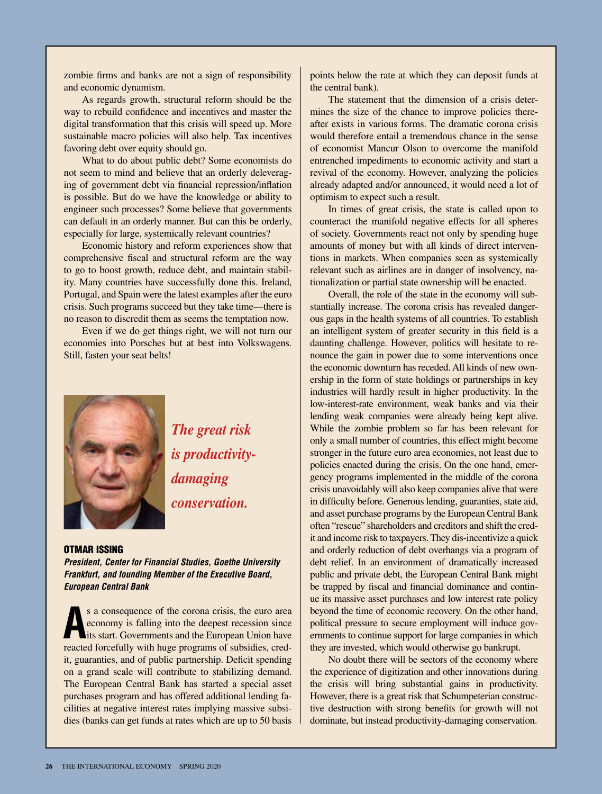zombie firms and banks are not a sign of responsibility and economic dynamism.

As regards growth, structural reform should be the way to rebuild confidence and incentives and master the digital transformation that this crisis will speed up. More sustainable macro policies will also help. Tax incentives favoring debt over equity should go.

What to do about public debt? Some economists do not seem to mind and believe that an orderly deleveraging of government debt via financial repression/inflation is possible. But do we have the knowledge or ability to engineer such processes? Some believe that governments can default in an orderly manner. But can this be orderly, especially for large, systemically relevant countries?

Economic history and reform experiences show that comprehensive fiscal and structural reform are the way to go to boost growth, reduce debt, and maintain stability. Many countries have successfully done this. Ireland, Portugal, and Spain were the latest examples after the euro crisis. Such programs succeed but they take time—there is no reason to discredit them as seems the temptation now.

Even if we do get things right, we will not turn our economies into Porsches but at best into Volkswagens. Still, fasten your seat belts!



*The great risk is productivitydamaging conservation.*

#### OTMAR ISSING

*President, Center for Financial Studies, Goethe University Frankfurt, and founding Member of the Executive Board, European Central Bank*

**A** s a consequence of the corona crisis, the euro area economy is falling into the deepest recession since its start. Governments and the European Union have reacted forcefully with huge programs of subsidies, credit, guaranties, and of public partnership. Deficit spending on a grand scale will contribute to stabilizing demand. The European Central Bank has started a special asset purchases program and has offered additional lending facilities at negative interest rates implying massive subsidies (banks can get funds at rates which are up to 50 basis points below the rate at which they can deposit funds at the central bank).

The statement that the dimension of a crisis determines the size of the chance to improve policies thereafter exists in various forms. The dramatic corona crisis would therefore entail a tremendous chance in the sense of economist Mancur Olson to overcome the manifold entrenched impediments to economic activity and start a revival of the economy. However, analyzing the policies already adapted and/or announced, it would need a lot of optimism to expect such a result.

In times of great crisis, the state is called upon to counteract the manifold negative effects for all spheres of society. Governments react not only by spending huge amounts of money but with all kinds of direct interventions in markets. When companies seen as systemically relevant such as airlines are in danger of insolvency, nationalization or partial state ownership will be enacted.

Overall, the role of the state in the economy will substantially increase. The corona crisis has revealed dangerous gaps in the health systems of all countries. To establish an intelligent system of greater security in this field is a daunting challenge. However, politics will hesitate to renounce the gain in power due to some interventions once the economic downturn has receded. All kinds of new ownership in the form of state holdings or partnerships in key industries will hardly result in higher productivity. In the low-interest-rate environment, weak banks and via their lending weak companies were already being kept alive. While the zombie problem so far has been relevant for only a small number of countries, this effect might become stronger in the future euro area economies, not least due to policies enacted during the crisis. On the one hand, emergency programs implemented in the middle of the corona crisis unavoidably will also keep companies alive that were in difficulty before. Generous lending, guaranties, state aid, and asset purchase programs by the European Central Bank often "rescue" shareholders and creditors and shift the credit and income risk to taxpayers. They dis-incentivize a quick and orderly reduction of debt overhangs via a program of debt relief. In an environment of dramatically increased public and private debt, the European Central Bank might be trapped by fiscal and financial dominance and continue its massive asset purchases and low interest rate policy beyond the time of economic recovery. On the other hand, political pressure to secure employment will induce governments to continue support for large companies in which they are invested, which would otherwise go bankrupt.

No doubt there will be sectors of the economy where the experience of digitization and other innovations during the crisis will bring substantial gains in productivity. However, there is a great risk that Schumpeterian constructive destruction with strong benefits for growth will not dominate, but instead productivity-damaging conservation.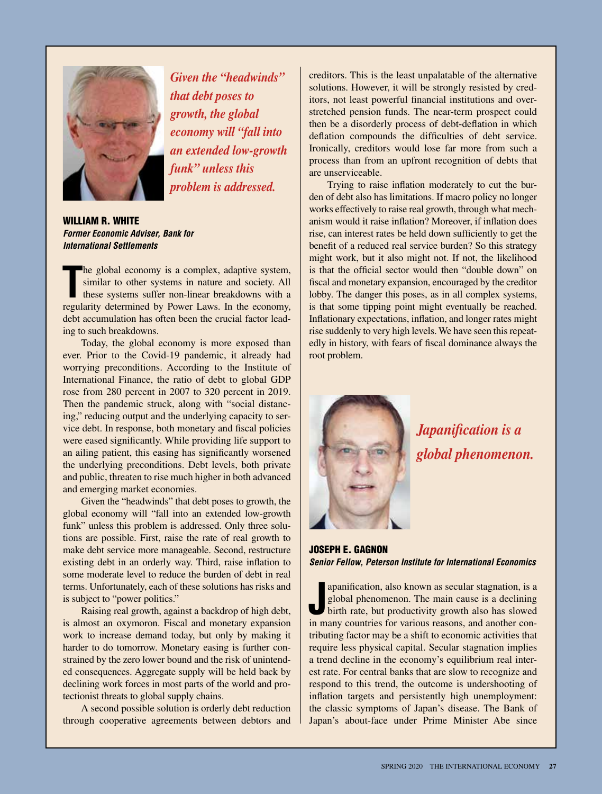

*Given the "headwinds" that debt poses to growth, the global economy will "fall into an extended low-growth funk" unless this problem is addressed.*

WILLIAM R. WHITE *Former Economic Adviser, Bank for International Settlements* 

The global economy is a complex, adaptive system, similar to other systems in nature and society. All these systems suffer non-linear breakdowns with a regularity determined by Power Laws. In the economy, he global economy is a complex, adaptive system, similar to other systems in nature and society. All these systems suffer non-linear breakdowns with a debt accumulation has often been the crucial factor leading to such breakdowns.

Today, the global economy is more exposed than ever. Prior to the Covid-19 pandemic, it already had worrying preconditions. According to the Institute of International Finance, the ratio of debt to global GDP rose from 280 percent in 2007 to 320 percent in 2019. Then the pandemic struck, along with "social distancing," reducing output and the underlying capacity to service debt. In response, both monetary and fiscal policies were eased significantly. While providing life support to an ailing patient, this easing has significantly worsened the underlying preconditions. Debt levels, both private and public, threaten to rise much higher in both advanced and emerging market economies.

Given the "headwinds" that debt poses to growth, the global economy will "fall into an extended low-growth funk" unless this problem is addressed. Only three solutions are possible. First, raise the rate of real growth to make debt service more manageable. Second, restructure existing debt in an orderly way. Third, raise inflation to some moderate level to reduce the burden of debt in real terms. Unfortunately, each of these solutions has risks and is subject to "power politics."

Raising real growth, against a backdrop of high debt, is almost an oxymoron. Fiscal and monetary expansion work to increase demand today, but only by making it harder to do tomorrow. Monetary easing is further constrained by the zero lower bound and the risk of unintended consequences. Aggregate supply will be held back by declining work forces in most parts of the world and protectionist threats to global supply chains.

A second possible solution is orderly debt reduction through cooperative agreements between debtors and creditors. This is the least unpalatable of the alternative solutions. However, it will be strongly resisted by creditors, not least powerful financial institutions and overstretched pension funds. The near-term prospect could then be a disorderly process of debt-deflation in which deflation compounds the difficulties of debt service. Ironically, creditors would lose far more from such a process than from an upfront recognition of debts that are unserviceable.

Trying to raise inflation moderately to cut the burden of debt also has limitations. If macro policy no longer works effectively to raise real growth, through what mechanism would it raise inflation? Moreover, if inflation does rise, can interest rates be held down sufficiently to get the benefit of a reduced real service burden? So this strategy might work, but it also might not. If not, the likelihood is that the official sector would then "double down" on fiscal and monetary expansion, encouraged by the creditor lobby. The danger this poses, as in all complex systems, is that some tipping point might eventually be reached. Inflationary expectations, inflation, and longer rates might rise suddenly to very high levels. We have seen this repeatedly in history, with fears of fiscal dominance always the root problem.



*Japanification is a global phenomenon.*

JOSEPH E. GAGNON *Senior Fellow, Peterson Institute for International Economics*

apanification, also known as secular stagnation, is a global phenomenon. The main cause is a declining birth rate, but productivity growth also has slowed in many countries for various reasons, and another conapanification, also known as secular stagnation, is a global phenomenon. The main cause is a declining birth rate, but productivity growth also has slowed tributing factor may be a shift to economic activities that require less physical capital. Secular stagnation implies a trend decline in the economy's equilibrium real interest rate. For central banks that are slow to recognize and respond to this trend, the outcome is undershooting of inflation targets and persistently high unemployment: the classic symptoms of Japan's disease. The Bank of Japan's about-face under Prime Minister Abe since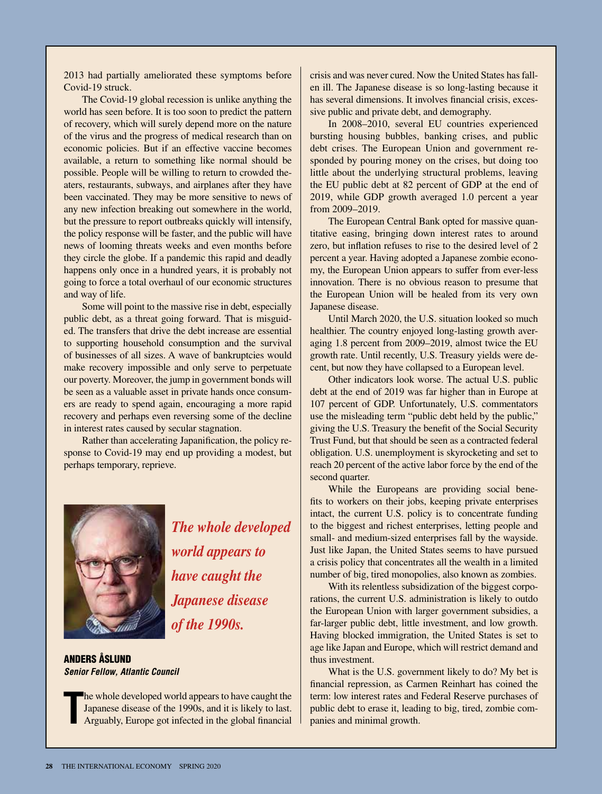2013 had partially ameliorated these symptoms before Covid-19 struck.

The Covid-19 global recession is unlike anything the world has seen before. It is too soon to predict the pattern of recovery, which will surely depend more on the nature of the virus and the progress of medical research than on economic policies. But if an effective vaccine becomes available, a return to something like normal should be possible. People will be willing to return to crowded theaters, restaurants, subways, and airplanes after they have been vaccinated. They may be more sensitive to news of any new infection breaking out somewhere in the world, but the pressure to report outbreaks quickly will intensify, the policy response will be faster, and the public will have news of looming threats weeks and even months before they circle the globe. If a pandemic this rapid and deadly happens only once in a hundred years, it is probably not going to force a total overhaul of our economic structures and way of life.

Some will point to the massive rise in debt, especially public debt, as a threat going forward. That is misguided. The transfers that drive the debt increase are essential to supporting household consumption and the survival of businesses of all sizes. A wave of bankruptcies would make recovery impossible and only serve to perpetuate our poverty. Moreover, the jump in government bonds will be seen as a valuable asset in private hands once consumers are ready to spend again, encouraging a more rapid recovery and perhaps even reversing some of the decline in interest rates caused by secular stagnation.

Rather than accelerating Japanification, the policy response to Covid-19 may end up providing a modest, but perhaps temporary, reprieve.



*The whole developed world appears to have caught the Japanese disease of the 1990s.*

ANDERS ÅSLUND *Senior Fellow, Atlantic Council*

**T** he whole developed world appears to have caught the Japanese disease of the 1990s, and it is likely to last. Arguably, Europe got infected in the global financial

crisis and was never cured. Now the United States has fallen ill. The Japanese disease is so long-lasting because it has several dimensions. It involves financial crisis, excessive public and private debt, and demography.

In 2008–2010, several EU countries experienced bursting housing bubbles, banking crises, and public debt crises. The European Union and government responded by pouring money on the crises, but doing too little about the underlying structural problems, leaving the EU public debt at 82 percent of GDP at the end of 2019, while GDP growth averaged 1.0 percent a year from 2009–2019.

The European Central Bank opted for massive quantitative easing, bringing down interest rates to around zero, but inflation refuses to rise to the desired level of 2 percent a year. Having adopted a Japanese zombie economy, the European Union appears to suffer from ever-less innovation. There is no obvious reason to presume that the European Union will be healed from its very own Japanese disease.

Until March 2020, the U.S. situation looked so much healthier. The country enjoyed long-lasting growth averaging 1.8 percent from 2009–2019, almost twice the EU growth rate. Until recently, U.S. Treasury yields were decent, but now they have collapsed to a European level.

Other indicators look worse. The actual U.S. public debt at the end of 2019 was far higher than in Europe at 107 percent of GDP. Unfortunately, U.S. commentators use the misleading term "public debt held by the public," giving the U.S. Treasury the benefit of the Social Security Trust Fund, but that should be seen as a contracted federal obligation. U.S. unemployment is skyrocketing and set to reach 20 percent of the active labor force by the end of the second quarter.

While the Europeans are providing social benefits to workers on their jobs, keeping private enterprises intact, the current U.S. policy is to concentrate funding to the biggest and richest enterprises, letting people and small- and medium-sized enterprises fall by the wayside. Just like Japan, the United States seems to have pursued a crisis policy that concentrates all the wealth in a limited number of big, tired monopolies, also known as zombies.

With its relentless subsidization of the biggest corporations, the current U.S. administration is likely to outdo the European Union with larger government subsidies, a far-larger public debt, little investment, and low growth. Having blocked immigration, the United States is set to age like Japan and Europe, which will restrict demand and thus investment.

What is the U.S. government likely to do? My bet is financial repression, as Carmen Reinhart has coined the term: low interest rates and Federal Reserve purchases of public debt to erase it, leading to big, tired, zombie companies and minimal growth.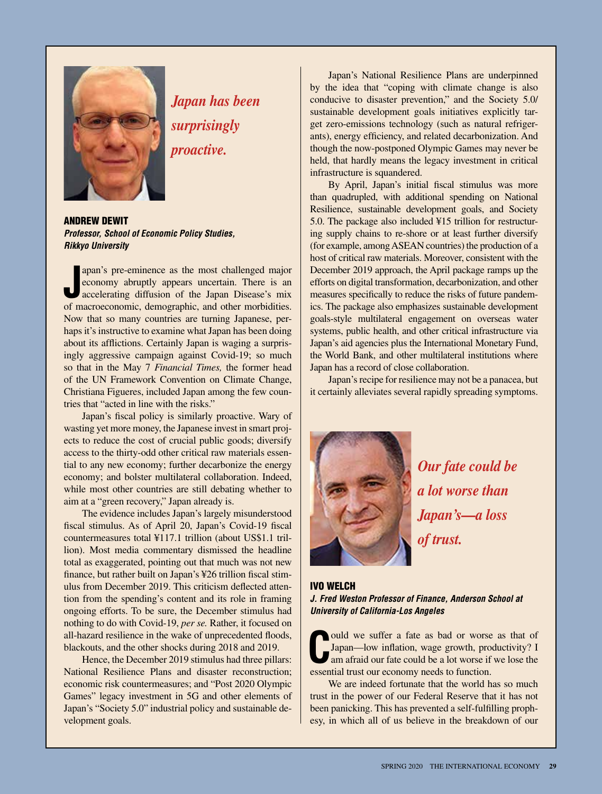

*Japan has been surprisingly proactive.*

ANDREW DEWIT *Professor, School of Economic Policy Studies, Rikkyo University*

**J** apan's pre-eminence as the most challenged major economy abruptly appears uncertain. There is an accelerating diffusion of the Japan Disease's mix of macroeconomic, demographic, and other morbidities. apan's pre-eminence as the most challenged major economy abruptly appears uncertain. There is an accelerating diffusion of the Japan Disease's mix Now that so many countries are turning Japanese, perhaps it's instructive to examine what Japan has been doing about its afflictions. Certainly Japan is waging a surprisingly aggressive campaign against Covid-19; so much so that in the May 7 *Financial Times,* the former head of the UN Framework Convention on Climate Change, Christiana Figueres, included Japan among the few countries that "acted in line with the risks."

Japan's fiscal policy is similarly proactive. Wary of wasting yet more money, the Japanese invest in smart projects to reduce the cost of crucial public goods; diversify access to the thirty-odd other critical raw materials essential to any new economy; further decarbonize the energy economy; and bolster multilateral collaboration. Indeed, while most other countries are still debating whether to aim at a "green recovery," Japan already is.

The evidence includes Japan's largely misunderstood fiscal stimulus. As of April 20, Japan's Covid-19 fiscal countermeasures total ¥117.1 trillion (about US\$1.1 trillion). Most media commentary dismissed the headline total as exaggerated, pointing out that much was not new finance, but rather built on Japan's ¥26 trillion fiscal stimulus from December 2019. This criticism deflected attention from the spending's content and its role in framing ongoing efforts. To be sure, the December stimulus had nothing to do with Covid-19, *per se.* Rather, it focused on all-hazard resilience in the wake of unprecedented floods, blackouts, and the other shocks during 2018 and 2019.

Hence, the December 2019 stimulus had three pillars: National Resilience Plans and disaster reconstruction; economic risk countermeasures; and "Post 2020 Olympic Games" legacy investment in 5G and other elements of Japan's "Society 5.0" industrial policy and sustainable development goals.

Japan's National Resilience Plans are underpinned by the idea that "coping with climate change is also conducive to disaster prevention," and the Society 5.0/ sustainable development goals initiatives explicitly target zero-emissions technology (such as natural refrigerants), energy efficiency, and related decarbonization. And though the now-postponed Olympic Games may never be held, that hardly means the legacy investment in critical infrastructure is squandered.

By April, Japan's initial fiscal stimulus was more than quadrupled, with additional spending on National Resilience, sustainable development goals, and Society 5.0. The package also included ¥15 trillion for restructuring supply chains to re-shore or at least further diversify (for example, among ASEAN countries) the production of a host of critical raw materials. Moreover, consistent with the December 2019 approach, the April package ramps up the efforts on digital transformation, decarbonization, and other measures specifically to reduce the risks of future pandemics. The package also emphasizes sustainable development goals-style multilateral engagement on overseas water systems, public health, and other critical infrastructure via Japan's aid agencies plus the International Monetary Fund, the World Bank, and other multilateral institutions where Japan has a record of close collaboration.

Japan's recipe for resilience may not be a panacea, but it certainly alleviates several rapidly spreading symptoms.



*Our fate could be a lot worse than Japan's—a loss of trust.*

#### IVO WELCH

#### *J. Fred Weston Professor of Finance, Anderson School at University of California-Los Angeles*

**C** essential trust our economy needs to function. ould we suffer a fate as bad or worse as that of Japan—low inflation, wage growth, productivity? I am afraid our fate could be a lot worse if we lose the

We are indeed fortunate that the world has so much trust in the power of our Federal Reserve that it has not been panicking. This has prevented a self-fulfilling prophesy, in which all of us believe in the breakdown of our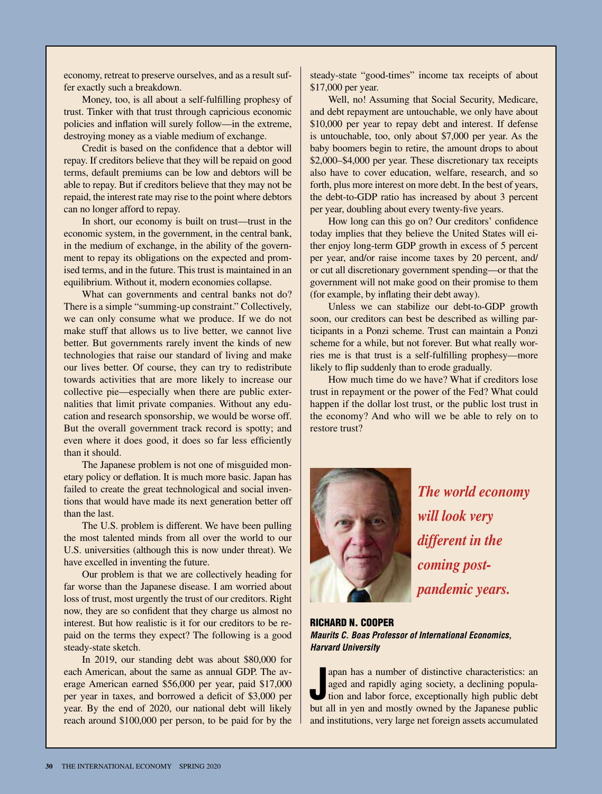economy, retreat to preserve ourselves, and as a result suffer exactly such a breakdown.

Money, too, is all about a self-fulfilling prophesy of trust. Tinker with that trust through capricious economic policies and inflation will surely follow—in the extreme, destroying money as a viable medium of exchange.

Credit is based on the confidence that a debtor will repay. If creditors believe that they will be repaid on good terms, default premiums can be low and debtors will be able to repay. But if creditors believe that they may not be repaid, the interest rate may rise to the point where debtors can no longer afford to repay.

In short, our economy is built on trust—trust in the economic system, in the government, in the central bank, in the medium of exchange, in the ability of the government to repay its obligations on the expected and promised terms, and in the future. This trust is maintained in an equilibrium. Without it, modern economies collapse.

What can governments and central banks not do? There is a simple "summing-up constraint." Collectively, we can only consume what we produce. If we do not make stuff that allows us to live better, we cannot live better. But governments rarely invent the kinds of new technologies that raise our standard of living and make our lives better. Of course, they can try to redistribute towards activities that are more likely to increase our collective pie—especially when there are public externalities that limit private companies. Without any education and research sponsorship, we would be worse off. But the overall government track record is spotty; and even where it does good, it does so far less efficiently than it should.

The Japanese problem is not one of misguided monetary policy or deflation. It is much more basic. Japan has failed to create the great technological and social inventions that would have made its next generation better off than the last.

The U.S. problem is different. We have been pulling the most talented minds from all over the world to our U.S. universities (although this is now under threat). We have excelled in inventing the future.

Our problem is that we are collectively heading for far worse than the Japanese disease. I am worried about loss of trust, most urgently the trust of our creditors. Right now, they are so confident that they charge us almost no interest. But how realistic is it for our creditors to be repaid on the terms they expect? The following is a good steady-state sketch.

In 2019, our standing debt was about \$80,000 for each American, about the same as annual GDP. The average American earned \$56,000 per year, paid \$17,000 per year in taxes, and borrowed a deficit of \$3,000 per year. By the end of 2020, our national debt will likely reach around \$100,000 per person, to be paid for by the

steady-state "good-times" income tax receipts of about \$17,000 per year.

Well, no! Assuming that Social Security, Medicare, and debt repayment are untouchable, we only have about \$10,000 per year to repay debt and interest. If defense is untouchable, too, only about \$7,000 per year. As the baby boomers begin to retire, the amount drops to about \$2,000–\$4,000 per year. These discretionary tax receipts also have to cover education, welfare, research, and so forth, plus more interest on more debt. In the best of years, the debt-to-GDP ratio has increased by about 3 percent per year, doubling about every twenty-five years.

How long can this go on? Our creditors' confidence today implies that they believe the United States will either enjoy long-term GDP growth in excess of 5 percent per year, and/or raise income taxes by 20 percent, and/ or cut all discretionary government spending—or that the government will not make good on their promise to them (for example, by inflating their debt away).

Unless we can stabilize our debt-to-GDP growth soon, our creditors can best be described as willing participants in a Ponzi scheme. Trust can maintain a Ponzi scheme for a while, but not forever. But what really worries me is that trust is a self-fulfilling prophesy—more likely to flip suddenly than to erode gradually.

How much time do we have? What if creditors lose trust in repayment or the power of the Fed? What could happen if the dollar lost trust, or the public lost trust in the economy? And who will we be able to rely on to restore trust?



*The world economy will look very different in the coming postpandemic years.*

RICHARD N. COOPER *Maurits C. Boas Professor of International Economics, Harvard University*

**J** apan has a number of distinctive characteristics: an aged and rapidly aging society, a declining population and labor force, exceptionally high public debt by the limit of the limit of the limit of the limit of the lim apan has a number of distinctive characteristics: an aged and rapidly aging society, a declining populabut all in yen and mostly owned by the Japanese public and institutions, very large net foreign assets accumulated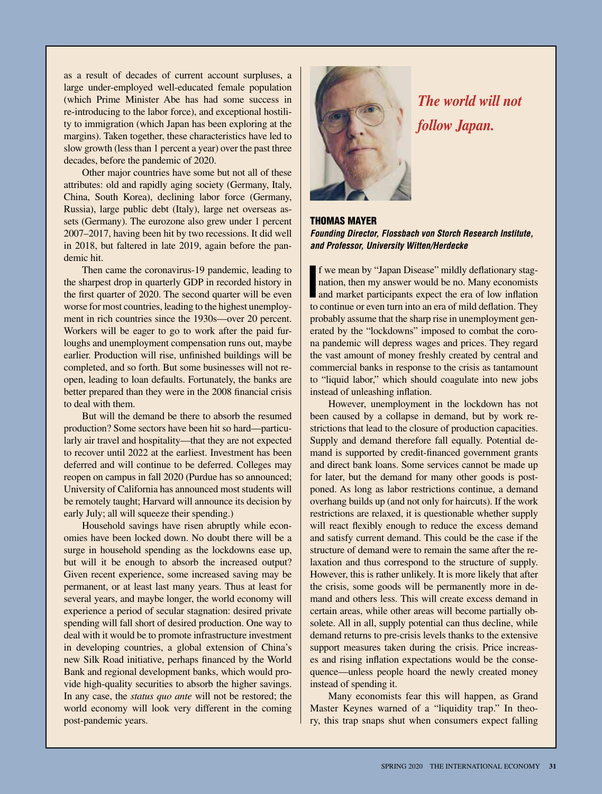as a result of decades of current account surpluses, a large under-employed well-educated female population (which Prime Minister Abe has had some success in re-introducing to the labor force), and exceptional hostility to immigration (which Japan has been exploring at the margins). Taken together, these characteristics have led to slow growth (less than 1 percent a year) over the past three decades, before the pandemic of 2020.

Other major countries have some but not all of these attributes: old and rapidly aging society (Germany, Italy, China, South Korea), declining labor force (Germany, Russia), large public debt (Italy), large net overseas assets (Germany). The eurozone also grew under 1 percent 2007–2017, having been hit by two recessions. It did well in 2018, but faltered in late 2019, again before the pandemic hit.

Then came the coronavirus-19 pandemic, leading to the sharpest drop in quarterly GDP in recorded history in the first quarter of 2020. The second quarter will be even worse for most countries, leading to the highest unemployment in rich countries since the 1930s—over 20 percent. Workers will be eager to go to work after the paid furloughs and unemployment compensation runs out, maybe earlier. Production will rise, unfinished buildings will be completed, and so forth. But some businesses will not reopen, leading to loan defaults. Fortunately, the banks are better prepared than they were in the 2008 financial crisis to deal with them.

But will the demand be there to absorb the resumed production? Some sectors have been hit so hard—particularly air travel and hospitality—that they are not expected to recover until 2022 at the earliest. Investment has been deferred and will continue to be deferred. Colleges may reopen on campus in fall 2020 (Purdue has so announced; University of California has announced most students will be remotely taught; Harvard will announce its decision by early July; all will squeeze their spending.)

Household savings have risen abruptly while economies have been locked down. No doubt there will be a surge in household spending as the lockdowns ease up, but will it be enough to absorb the increased output? Given recent experience, some increased saving may be permanent, or at least last many years. Thus at least for several years, and maybe longer, the world economy will experience a period of secular stagnation: desired private spending will fall short of desired production. One way to deal with it would be to promote infrastructure investment in developing countries, a global extension of China's new Silk Road initiative, perhaps financed by the World Bank and regional development banks, which would provide high-quality securities to absorb the higher savings. In any case, the *status quo ante* will not be restored; the world economy will look very different in the coming post-pandemic years.



*The world will not follow Japan.*

#### THOMAS MAYER *Founding Director, Flossbach von Storch Research Institute, and Professor, University Witten/Herdecke*

**I** f we mean by "Japan Disease" mildly deflationary stagnation, then my answer would be no. Many economists and market participants expect the era of low inflation to continue and in the low inflation. f we mean by "Japan Disease" mildly deflationary stagnation, then my answer would be no. Many economists to continue or even turn into an era of mild deflation. They probably assume that the sharp rise in unemployment generated by the "lockdowns" imposed to combat the corona pandemic will depress wages and prices. They regard the vast amount of money freshly created by central and commercial banks in response to the crisis as tantamount to "liquid labor," which should coagulate into new jobs instead of unleashing inflation.

However, unemployment in the lockdown has not been caused by a collapse in demand, but by work restrictions that lead to the closure of production capacities. Supply and demand therefore fall equally. Potential demand is supported by credit-financed government grants and direct bank loans. Some services cannot be made up for later, but the demand for many other goods is postponed. As long as labor restrictions continue, a demand overhang builds up (and not only for haircuts). If the work restrictions are relaxed, it is questionable whether supply will react flexibly enough to reduce the excess demand and satisfy current demand. This could be the case if the structure of demand were to remain the same after the relaxation and thus correspond to the structure of supply. However, this is rather unlikely. It is more likely that after the crisis, some goods will be permanently more in demand and others less. This will create excess demand in certain areas, while other areas will become partially obsolete. All in all, supply potential can thus decline, while demand returns to pre-crisis levels thanks to the extensive support measures taken during the crisis. Price increases and rising inflation expectations would be the consequence—unless people hoard the newly created money instead of spending it.

Many economists fear this will happen, as Grand Master Keynes warned of a "liquidity trap." In theory, this trap snaps shut when consumers expect falling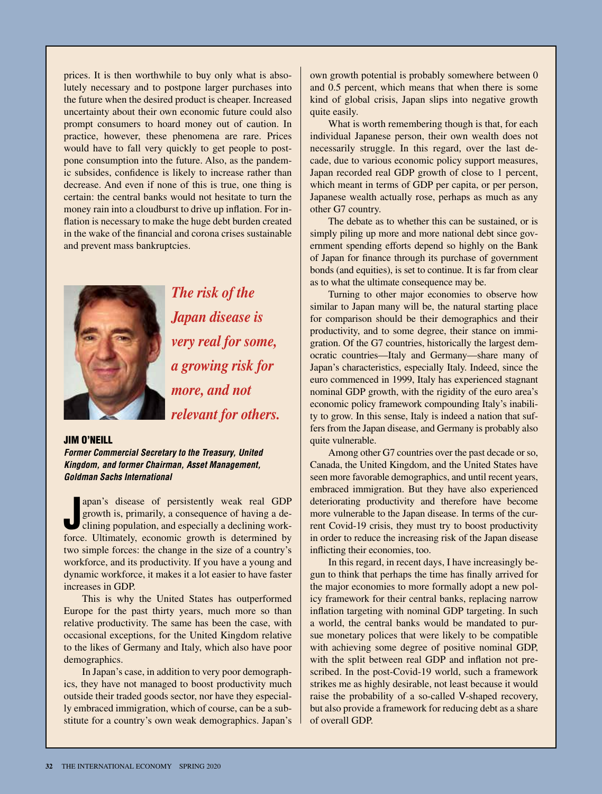prices. It is then worthwhile to buy only what is absolutely necessary and to postpone larger purchases into the future when the desired product is cheaper. Increased uncertainty about their own economic future could also prompt consumers to hoard money out of caution. In practice, however, these phenomena are rare. Prices would have to fall very quickly to get people to postpone consumption into the future. Also, as the pandemic subsides, confidence is likely to increase rather than decrease. And even if none of this is true, one thing is certain: the central banks would not hesitate to turn the money rain into a cloudburst to drive up inflation. For inflation is necessary to make the huge debt burden created in the wake of the financial and corona crises sustainable and prevent mass bankruptcies.



*The risk of the Japan disease is very real for some, a growing risk for more, and not relevant for others.*

#### JIM O'NEILL

*Former Commercial Secretary to the Treasury, United Kingdom, and former Chairman, Asset Management, Goldman Sachs International*

apan's disease of persistently weak real GDP growth is, primarily, a consequence of having a declining population, and especially a declining work-<br>force. Ultimately, economic growth is determined by apan's disease of persistently weak real GDP growth is, primarily, a consequence of having a declining population, and especially a declining worktwo simple forces: the change in the size of a country's workforce, and its productivity. If you have a young and dynamic workforce, it makes it a lot easier to have faster increases in GDP.

This is why the United States has outperformed Europe for the past thirty years, much more so than relative productivity. The same has been the case, with occasional exceptions, for the United Kingdom relative to the likes of Germany and Italy, which also have poor demographics.

In Japan's case, in addition to very poor demographics, they have not managed to boost productivity much outside their traded goods sector, nor have they especially embraced immigration, which of course, can be a substitute for a country's own weak demographics. Japan's

own growth potential is probably somewhere between 0 and 0.5 percent, which means that when there is some kind of global crisis, Japan slips into negative growth quite easily.

What is worth remembering though is that, for each individual Japanese person, their own wealth does not necessarily struggle. In this regard, over the last decade, due to various economic policy support measures, Japan recorded real GDP growth of close to 1 percent, which meant in terms of GDP per capita, or per person, Japanese wealth actually rose, perhaps as much as any other G7 country.

The debate as to whether this can be sustained, or is simply piling up more and more national debt since government spending efforts depend so highly on the Bank of Japan for finance through its purchase of government bonds (and equities), is set to continue. It is far from clear as to what the ultimate consequence may be.

Turning to other major economies to observe how similar to Japan many will be, the natural starting place for comparison should be their demographics and their productivity, and to some degree, their stance on immigration. Of the G7 countries, historically the largest democratic countries—Italy and Germany—share many of Japan's characteristics, especially Italy. Indeed, since the euro commenced in 1999, Italy has experienced stagnant nominal GDP growth, with the rigidity of the euro area's economic policy framework compounding Italy's inability to grow. In this sense, Italy is indeed a nation that suffers from the Japan disease, and Germany is probably also quite vulnerable.

Among other G7 countries over the past decade or so, Canada, the United Kingdom, and the United States have seen more favorable demographics, and until recent years, embraced immigration. But they have also experienced deteriorating productivity and therefore have become more vulnerable to the Japan disease. In terms of the current Covid-19 crisis, they must try to boost productivity in order to reduce the increasing risk of the Japan disease inflicting their economies, too.

In this regard, in recent days, I have increasingly begun to think that perhaps the time has finally arrived for the major economies to more formally adopt a new policy framework for their central banks, replacing narrow inflation targeting with nominal GDP targeting. In such a world, the central banks would be mandated to pursue monetary polices that were likely to be compatible with achieving some degree of positive nominal GDP, with the split between real GDP and inflation not prescribed. In the post-Covid-19 world, such a framework strikes me as highly desirable, not least because it would raise the probability of a so-called V-shaped recovery, but also provide a framework for reducing debt as a share of overall GDP.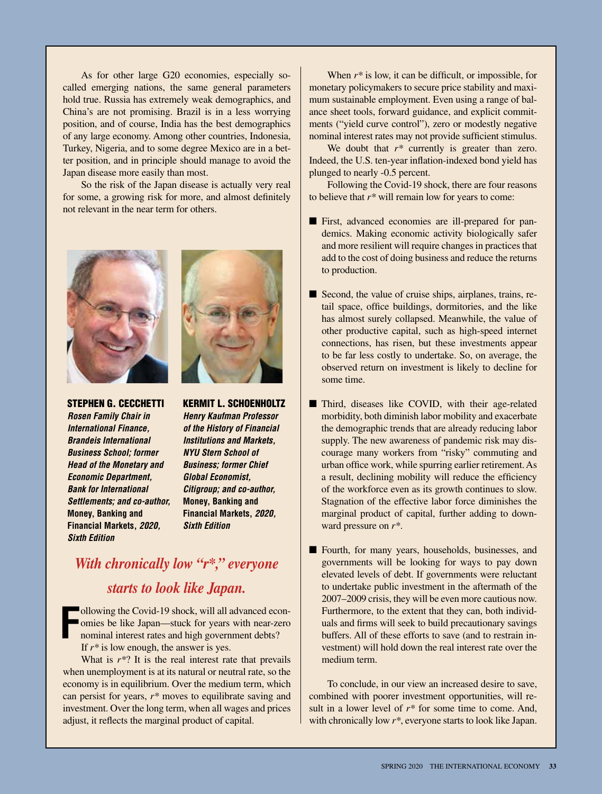As for other large G20 economies, especially socalled emerging nations, the same general parameters hold true. Russia has extremely weak demographics, and China's are not promising. Brazil is in a less worrying position, and of course, India has the best demographics of any large economy. Among other countries, Indonesia, Turkey, Nigeria, and to some degree Mexico are in a better position, and in principle should manage to avoid the Japan disease more easily than most.

So the risk of the Japan disease is actually very real for some, a growing risk for more, and almost definitely not relevant in the near term for others.





STEPHEN G. CECCHETTI *Rosen Family Chair in International Finance, Brandeis International Business School; former Head of the Monetary and Economic Department, Bank for International Settlements; and co-author,*  **Money, Banking and Financial Markets,** *2020, Sixth Edition*

KERMIT L. SCHOENHOLTZ *Henry Kaufman Professor of the History of Financial Institutions and Markets, NYU Stern School of Business; former Chief Global Economist, Citigroup; and co-author,*  **Money, Banking and Financial Markets,** *2020, Sixth Edition*

### *With chronically low "r\*," everyone starts to look like Japan.*

**F** ollowing the Covid-19 shock, will all advanced economies be like Japan—stuck for years with near-zero nominal interest rates and high government debts? If *r\** is low enough, the answer is yes.

What is  $r^*$ ? It is the real interest rate that prevails when unemployment is at its natural or neutral rate, so the economy is in equilibrium. Over the medium term, which can persist for years, *r\** moves to equilibrate saving and investment. Over the long term, when all wages and prices adjust, it reflects the marginal product of capital.

When *r\** is low, it can be difficult, or impossible, for monetary policymakers to secure price stability and maximum sustainable employment. Even using a range of balance sheet tools, forward guidance, and explicit commitments ("yield curve control"), zero or modestly negative nominal interest rates may not provide sufficient stimulus.

We doubt that  $r^*$  currently is greater than zero. Indeed, the U.S. ten-year inflation-indexed bond yield has plunged to nearly -0.5 percent.

Following the Covid-19 shock, there are four reasons to believe that *r\** will remain low for years to come:

- First, advanced economies are ill-prepared for pandemics. Making economic activity biologically safer and more resilient will require changes in practices that add to the cost of doing business and reduce the returns to production.
- Second, the value of cruise ships, airplanes, trains, retail space, office buildings, dormitories, and the like has almost surely collapsed. Meanwhile, the value of other productive capital, such as high-speed internet connections, has risen, but these investments appear to be far less costly to undertake. So, on average, the observed return on investment is likely to decline for some time.
- Third, diseases like COVID, with their age-related morbidity, both diminish labor mobility and exacerbate the demographic trends that are already reducing labor supply. The new awareness of pandemic risk may discourage many workers from "risky" commuting and urban office work, while spurring earlier retirement. As a result, declining mobility will reduce the efficiency of the workforce even as its growth continues to slow. Stagnation of the effective labor force diminishes the marginal product of capital, further adding to downward pressure on *r\**.
- Fourth, for many years, households, businesses, and governments will be looking for ways to pay down elevated levels of debt. If governments were reluctant to undertake public investment in the aftermath of the 2007–2009 crisis, they will be even more cautious now. Furthermore, to the extent that they can, both individuals and firms will seek to build precautionary savings buffers. All of these efforts to save (and to restrain investment) will hold down the real interest rate over the medium term.

To conclude, in our view an increased desire to save, combined with poorer investment opportunities, will result in a lower level of *r\** for some time to come. And, with chronically low *r\**, everyone starts to look like Japan.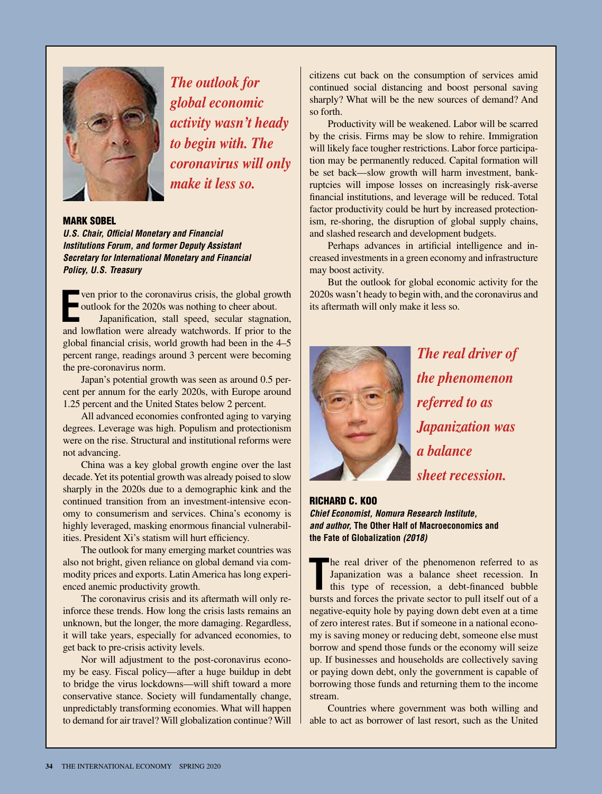

*The outlook for global economic activity wasn't heady to begin with. The coronavirus will only make it less so.*

#### MARK SOBEL

*U.S. Chair, Official Monetary and Financial Institutions Forum, and former Deputy Assistant Secretary for International Monetary and Financial Policy, U.S. Treasury*

**Example 18 ven prior to the coronavirus crisis, the global growth outlook for the 2020s was nothing to cheer about.<br>
<b>EXAMPLE 18 Japanification**, stall speed, secular stagnation, and lowflation were already watchwords. If ven prior to the coronavirus crisis, the global growth outlook for the 2020s was nothing to cheer about. Japanification, stall speed, secular stagnation, global financial crisis, world growth had been in the 4–5 percent range, readings around 3 percent were becoming the pre-coronavirus norm.

Japan's potential growth was seen as around 0.5 percent per annum for the early 2020s, with Europe around 1.25 percent and the United States below 2 percent.

All advanced economies confronted aging to varying degrees. Leverage was high. Populism and protectionism were on the rise. Structural and institutional reforms were not advancing.

China was a key global growth engine over the last decade. Yet its potential growth was already poised to slow sharply in the 2020s due to a demographic kink and the continued transition from an investment-intensive economy to consumerism and services. China's economy is highly leveraged, masking enormous financial vulnerabilities. President Xi's statism will hurt efficiency.

The outlook for many emerging market countries was also not bright, given reliance on global demand via commodity prices and exports. Latin America has long experienced anemic productivity growth.

The coronavirus crisis and its aftermath will only reinforce these trends. How long the crisis lasts remains an unknown, but the longer, the more damaging. Regardless, it will take years, especially for advanced economies, to get back to pre-crisis activity levels.

Nor will adjustment to the post-coronavirus economy be easy. Fiscal policy—after a huge buildup in debt to bridge the virus lockdowns—will shift toward a more conservative stance. Society will fundamentally change, unpredictably transforming economies. What will happen to demand for air travel? Will globalization continue? Will citizens cut back on the consumption of services amid continued social distancing and boost personal saving sharply? What will be the new sources of demand? And so forth.

Productivity will be weakened. Labor will be scarred by the crisis. Firms may be slow to rehire. Immigration will likely face tougher restrictions. Labor force participation may be permanently reduced. Capital formation will be set back—slow growth will harm investment, bankruptcies will impose losses on increasingly risk-averse financial institutions, and leverage will be reduced. Total factor productivity could be hurt by increased protectionism, re-shoring, the disruption of global supply chains, and slashed research and development budgets.

Perhaps advances in artificial intelligence and increased investments in a green economy and infrastructure may boost activity.

But the outlook for global economic activity for the 2020s wasn't heady to begin with, and the coronavirus and its aftermath will only make it less so.



*The real driver of the phenomenon referred to as Japanization was a balance sheet recession.*

#### RICHARD C. KOO *Chief Economist, Nomura Research Institute, and author,* **The Other Half of Macroeconomics and the Fate of Globalization** *(2018)*

The real driver of the phenomenon referred to as<br>
Japanization was a balance sheet recession. In<br>
this type of recession, a debt-financed bubble<br>
bursts and forces the private sector to pull itself out of a he real driver of the phenomenon referred to as Japanization was a balance sheet recession. In this type of recession, a debt-financed bubble negative-equity hole by paying down debt even at a time of zero interest rates. But if someone in a national economy is saving money or reducing debt, someone else must borrow and spend those funds or the economy will seize up. If businesses and households are collectively saving or paying down debt, only the government is capable of borrowing those funds and returning them to the income stream.

Countries where government was both willing and able to act as borrower of last resort, such as the United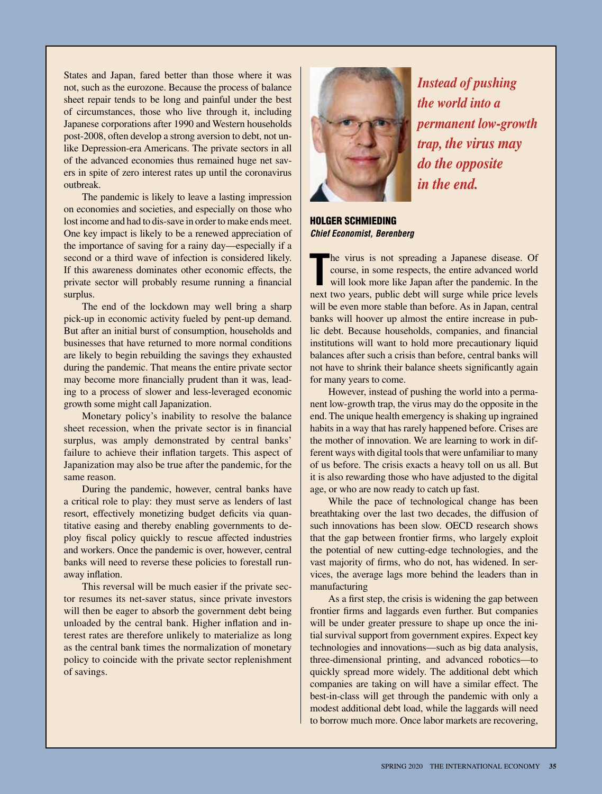States and Japan, fared better than those where it was not, such as the eurozone. Because the process of balance sheet repair tends to be long and painful under the best of circumstances, those who live through it, including Japanese corporations after 1990 and Western households post-2008, often develop a strong aversion to debt, not unlike Depression-era Americans. The private sectors in all of the advanced economies thus remained huge net savers in spite of zero interest rates up until the coronavirus outbreak.

The pandemic is likely to leave a lasting impression on economies and societies, and especially on those who lost income and had to dis-save in order to make ends meet. One key impact is likely to be a renewed appreciation of the importance of saving for a rainy day—especially if a second or a third wave of infection is considered likely. If this awareness dominates other economic effects, the private sector will probably resume running a financial surplus.

The end of the lockdown may well bring a sharp pick-up in economic activity fueled by pent-up demand. But after an initial burst of consumption, households and businesses that have returned to more normal conditions are likely to begin rebuilding the savings they exhausted during the pandemic. That means the entire private sector may become more financially prudent than it was, leading to a process of slower and less-leveraged economic growth some might call Japanization.

Monetary policy's inability to resolve the balance sheet recession, when the private sector is in financial surplus, was amply demonstrated by central banks' failure to achieve their inflation targets. This aspect of Japanization may also be true after the pandemic, for the same reason.

During the pandemic, however, central banks have a critical role to play: they must serve as lenders of last resort, effectively monetizing budget deficits via quantitative easing and thereby enabling governments to deploy fiscal policy quickly to rescue affected industries and workers. Once the pandemic is over, however, central banks will need to reverse these policies to forestall runaway inflation.

This reversal will be much easier if the private sector resumes its net-saver status, since private investors will then be eager to absorb the government debt being unloaded by the central bank. Higher inflation and interest rates are therefore unlikely to materialize as long as the central bank times the normalization of monetary policy to coincide with the private sector replenishment of savings.



*Instead of pushing the world into a permanent low-growth trap, the virus may do the opposite in the end.*

HOLGER SCHMIEDING *Chief Economist, Berenberg*

The virus is not spreading a Japanese disease. Of course, in some respects, the entire advanced world will look more like Japan after the pandemic. In the next two years, public debt will surge while price levels he virus is not spreading a Japanese disease. Of course, in some respects, the entire advanced world will look more like Japan after the pandemic. In the will be even more stable than before. As in Japan, central banks will hoover up almost the entire increase in public debt. Because households, companies, and financial institutions will want to hold more precautionary liquid balances after such a crisis than before, central banks will not have to shrink their balance sheets significantly again for many years to come.

However, instead of pushing the world into a permanent low-growth trap, the virus may do the opposite in the end. The unique health emergency is shaking up ingrained habits in a way that has rarely happened before. Crises are the mother of innovation. We are learning to work in different ways with digital tools that were unfamiliar to many of us before. The crisis exacts a heavy toll on us all. But it is also rewarding those who have adjusted to the digital age, or who are now ready to catch up fast.

While the pace of technological change has been breathtaking over the last two decades, the diffusion of such innovations has been slow. OECD research shows that the gap between frontier firms, who largely exploit the potential of new cutting-edge technologies, and the vast majority of firms, who do not, has widened. In services, the average lags more behind the leaders than in manufacturing

As a first step, the crisis is widening the gap between frontier firms and laggards even further. But companies will be under greater pressure to shape up once the initial survival support from government expires. Expect key technologies and innovations—such as big data analysis, three-dimensional printing, and advanced robotics—to quickly spread more widely. The additional debt which companies are taking on will have a similar effect. The best-in-class will get through the pandemic with only a modest additional debt load, while the laggards will need to borrow much more. Once labor markets are recovering,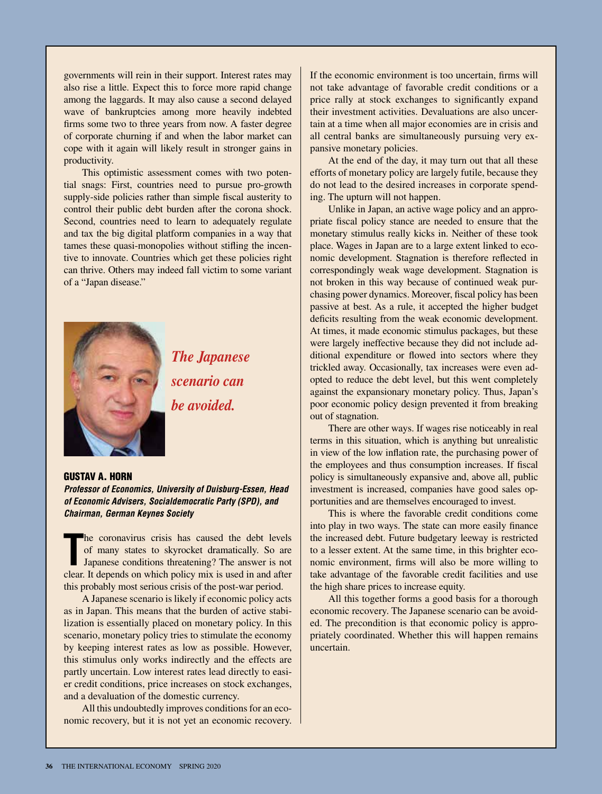governments will rein in their support. Interest rates may also rise a little. Expect this to force more rapid change among the laggards. It may also cause a second delayed wave of bankruptcies among more heavily indebted firms some two to three years from now. A faster degree of corporate churning if and when the labor market can cope with it again will likely result in stronger gains in productivity.

This optimistic assessment comes with two potential snags: First, countries need to pursue pro-growth supply-side policies rather than simple fiscal austerity to control their public debt burden after the corona shock. Second, countries need to learn to adequately regulate and tax the big digital platform companies in a way that tames these quasi-monopolies without stifling the incentive to innovate. Countries which get these policies right can thrive. Others may indeed fall victim to some variant of a "Japan disease."



*The Japanese scenario can be avoided.*

#### GUSTAV A. HORN

*Professor of Economics, University of Duisburg-Essen, Head of Economic Advisers, Socialdemocratic Party (SPD), and Chairman, German Keynes Society*

The coronavirus crisis has caused the debt levels of many states to skyrocket dramatically. So are Japanese conditions threatening? The answer is not clear. It depends on which policy mix is used in and after he coronavirus crisis has caused the debt levels of many states to skyrocket dramatically. So are Japanese conditions threatening? The answer is not this probably most serious crisis of the post-war period.

A Japanese scenario is likely if economic policy acts as in Japan. This means that the burden of active stabilization is essentially placed on monetary policy. In this scenario, monetary policy tries to stimulate the economy by keeping interest rates as low as possible. However, this stimulus only works indirectly and the effects are partly uncertain. Low interest rates lead directly to easier credit conditions, price increases on stock exchanges, and a devaluation of the domestic currency.

All this undoubtedly improves conditions for an economic recovery, but it is not yet an economic recovery. If the economic environment is too uncertain, firms will not take advantage of favorable credit conditions or a price rally at stock exchanges to significantly expand their investment activities. Devaluations are also uncertain at a time when all major economies are in crisis and all central banks are simultaneously pursuing very expansive monetary policies.

At the end of the day, it may turn out that all these efforts of monetary policy are largely futile, because they do not lead to the desired increases in corporate spending. The upturn will not happen.

Unlike in Japan, an active wage policy and an appropriate fiscal policy stance are needed to ensure that the monetary stimulus really kicks in. Neither of these took place. Wages in Japan are to a large extent linked to economic development. Stagnation is therefore reflected in correspondingly weak wage development. Stagnation is not broken in this way because of continued weak purchasing power dynamics. Moreover, fiscal policy has been passive at best. As a rule, it accepted the higher budget deficits resulting from the weak economic development. At times, it made economic stimulus packages, but these were largely ineffective because they did not include additional expenditure or flowed into sectors where they trickled away. Occasionally, tax increases were even adopted to reduce the debt level, but this went completely against the expansionary monetary policy. Thus, Japan's poor economic policy design prevented it from breaking out of stagnation.

There are other ways. If wages rise noticeably in real terms in this situation, which is anything but unrealistic in view of the low inflation rate, the purchasing power of the employees and thus consumption increases. If fiscal policy is simultaneously expansive and, above all, public investment is increased, companies have good sales opportunities and are themselves encouraged to invest.

This is where the favorable credit conditions come into play in two ways. The state can more easily finance the increased debt. Future budgetary leeway is restricted to a lesser extent. At the same time, in this brighter economic environment, firms will also be more willing to take advantage of the favorable credit facilities and use the high share prices to increase equity.

All this together forms a good basis for a thorough economic recovery. The Japanese scenario can be avoided. The precondition is that economic policy is appropriately coordinated. Whether this will happen remains uncertain.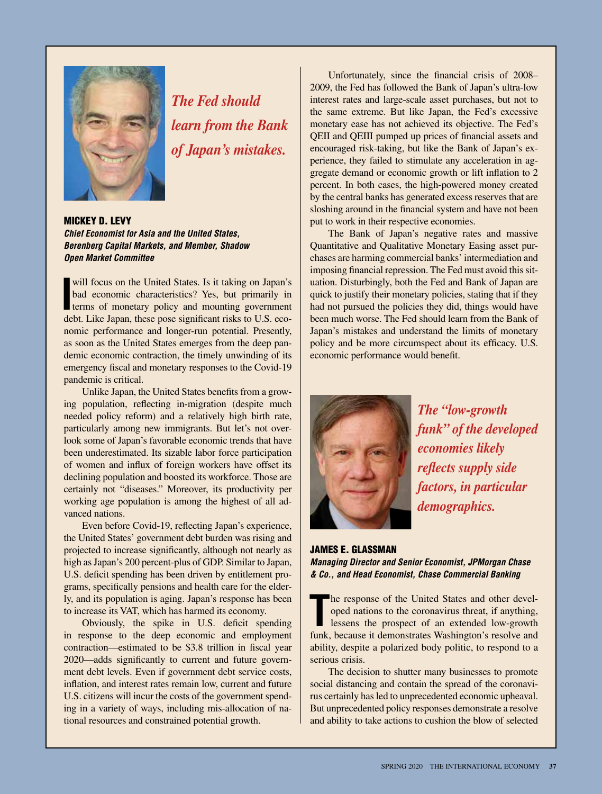

*The Fed should learn from the Bank of Japan's mistakes.*

MICKEY D. LEVY *Chief Economist for Asia and the United States, Berenberg Capital Markets, and Member, Shadow Open Market Committee*

will focus on the United States. Is it taking on Japan's<br>bad economic characteristics? Yes, but primarily in<br>terms of monetary policy and mounting government<br>date. Like Japan, then a pose similar take US and bad economic characteristics? Yes, but primarily in terms of monetary policy and mounting government debt. Like Japan, these pose significant risks to U.S. economic performance and longer-run potential. Presently, as soon as the United States emerges from the deep pandemic economic contraction, the timely unwinding of its emergency fiscal and monetary responses to the Covid-19 pandemic is critical.

Unlike Japan, the United States benefits from a growing population, reflecting in-migration (despite much needed policy reform) and a relatively high birth rate, particularly among new immigrants. But let's not overlook some of Japan's favorable economic trends that have been underestimated. Its sizable labor force participation of women and influx of foreign workers have offset its declining population and boosted its workforce. Those are certainly not "diseases." Moreover, its productivity per working age population is among the highest of all advanced nations.

Even before Covid-19, reflecting Japan's experience, the United States' government debt burden was rising and projected to increase significantly, although not nearly as high as Japan's 200 percent-plus of GDP. Similar to Japan, U.S. deficit spending has been driven by entitlement programs, specifically pensions and health care for the elderly, and its population is aging. Japan's response has been to increase its VAT, which has harmed its economy.

Obviously, the spike in U.S. deficit spending in response to the deep economic and employment contraction—estimated to be \$3.8 trillion in fiscal year 2020—adds significantly to current and future government debt levels. Even if government debt service costs, inflation, and interest rates remain low, current and future U.S. citizens will incur the costs of the government spending in a variety of ways, including mis-allocation of national resources and constrained potential growth.

Unfortunately, since the financial crisis of 2008– 2009, the Fed has followed the Bank of Japan's ultra-low interest rates and large-scale asset purchases, but not to the same extreme. But like Japan, the Fed's excessive monetary ease has not achieved its objective. The Fed's QEII and QEIII pumped up prices of financial assets and encouraged risk-taking, but like the Bank of Japan's experience, they failed to stimulate any acceleration in aggregate demand or economic growth or lift inflation to 2 percent. In both cases, the high-powered money created by the central banks has generated excess reserves that are sloshing around in the financial system and have not been put to work in their respective economies.

The Bank of Japan's negative rates and massive Quantitative and Qualitative Monetary Easing asset purchases are harming commercial banks' intermediation and imposing financial repression. The Fed must avoid this situation. Disturbingly, both the Fed and Bank of Japan are quick to justify their monetary policies, stating that if they had not pursued the policies they did, things would have been much worse. The Fed should learn from the Bank of Japan's mistakes and understand the limits of monetary policy and be more circumspect about its efficacy. U.S. economic performance would benefit.



*The "low-growth funk" of the developed economies likely reflects supply side factors, in particular demographics.*

#### JAMES E. GLASSMAN *Managing Director and Senior Economist, JPMorgan Chase & Co., and Head Economist, Chase Commercial Banking*

The response of the United States and other developed nations to the coronavirus threat, if anything, lessens the prospect of an extended low-growth funk, because it demonstrates Washington's resolve and he response of the United States and other developed nations to the coronavirus threat, if anything, lessens the prospect of an extended low-growth ability, despite a polarized body politic, to respond to a serious crisis.

The decision to shutter many businesses to promote social distancing and contain the spread of the coronavirus certainly has led to unprecedented economic upheaval. But unprecedented policy responses demonstrate a resolve and ability to take actions to cushion the blow of selected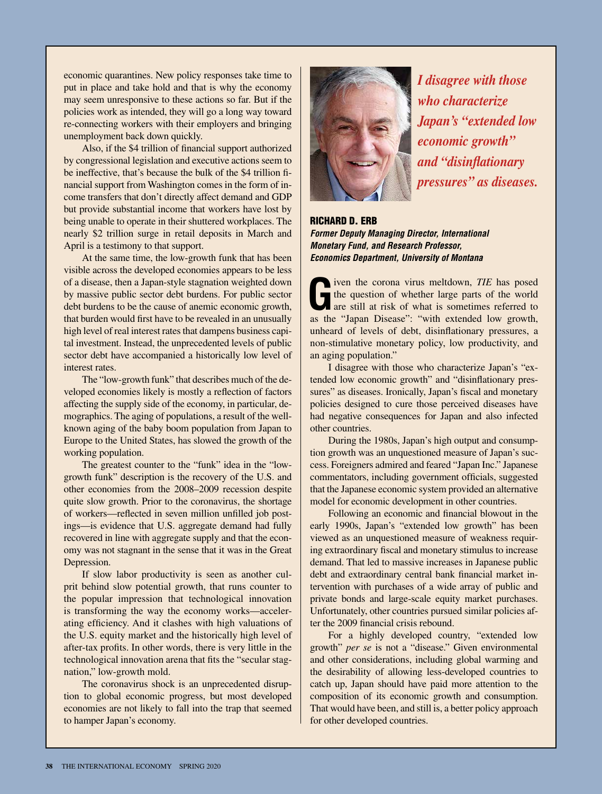economic quarantines. New policy responses take time to put in place and take hold and that is why the economy may seem unresponsive to these actions so far. But if the policies work as intended, they will go a long way toward re-connecting workers with their employers and bringing unemployment back down quickly.

Also, if the \$4 trillion of financial support authorized by congressional legislation and executive actions seem to be ineffective, that's because the bulk of the \$4 trillion financial support from Washington comes in the form of income transfers that don't directly affect demand and GDP but provide substantial income that workers have lost by being unable to operate in their shuttered workplaces. The nearly \$2 trillion surge in retail deposits in March and April is a testimony to that support.

At the same time, the low-growth funk that has been visible across the developed economies appears to be less of a disease, then a Japan-style stagnation weighted down by massive public sector debt burdens. For public sector debt burdens to be the cause of anemic economic growth, that burden would first have to be revealed in an unusually high level of real interest rates that dampens business capital investment. Instead, the unprecedented levels of public sector debt have accompanied a historically low level of interest rates.

The "low-growth funk" that describes much of the developed economies likely is mostly a reflection of factors affecting the supply side of the economy, in particular, demographics. The aging of populations, a result of the wellknown aging of the baby boom population from Japan to Europe to the United States, has slowed the growth of the working population.

The greatest counter to the "funk" idea in the "lowgrowth funk" description is the recovery of the U.S. and other economies from the 2008–2009 recession despite quite slow growth. Prior to the coronavirus, the shortage of workers—reflected in seven million unfilled job postings—is evidence that U.S. aggregate demand had fully recovered in line with aggregate supply and that the economy was not stagnant in the sense that it was in the Great Depression.

If slow labor productivity is seen as another culprit behind slow potential growth, that runs counter to the popular impression that technological innovation is transforming the way the economy works—accelerating efficiency. And it clashes with high valuations of the U.S. equity market and the historically high level of after-tax profits. In other words, there is very little in the technological innovation arena that fits the "secular stagnation," low-growth mold.

The coronavirus shock is an unprecedented disruption to global economic progress, but most developed economies are not likely to fall into the trap that seemed to hamper Japan's economy.



*I disagree with those who characterize Japan's "extended low economic growth" and "disinflationary pressures" as diseases.*

RICHARD D. ERB *Former Deputy Managing Director, International Monetary Fund, and Research Professor, Economics Department, University of Montana*

**G**iven the corona virus meltdown, *TIE* has posed<br>the question of whether large parts of the world<br>are still at risk of what is sometimes referred to<br>the "Jense Diseas": "with system and low countthe question of whether large parts of the world are still at risk of what is sometimes referred to as the "Japan Disease": "with extended low growth, unheard of levels of debt, disinflationary pressures, a non-stimulative monetary policy, low productivity, and an aging population."

I disagree with those who characterize Japan's "extended low economic growth" and "disinflationary pressures" as diseases. Ironically, Japan's fiscal and monetary policies designed to cure those perceived diseases have had negative consequences for Japan and also infected other countries.

During the 1980s, Japan's high output and consumption growth was an unquestioned measure of Japan's success. Foreigners admired and feared "Japan Inc." Japanese commentators, including government officials, suggested that the Japanese economic system provided an alternative model for economic development in other countries.

Following an economic and financial blowout in the early 1990s, Japan's "extended low growth" has been viewed as an unquestioned measure of weakness requiring extraordinary fiscal and monetary stimulus to increase demand. That led to massive increases in Japanese public debt and extraordinary central bank financial market intervention with purchases of a wide array of public and private bonds and large-scale equity market purchases. Unfortunately, other countries pursued similar policies after the 2009 financial crisis rebound.

For a highly developed country, "extended low growth" *per se* is not a "disease." Given environmental and other considerations, including global warming and the desirability of allowing less-developed countries to catch up, Japan should have paid more attention to the composition of its economic growth and consumption. That would have been, and still is, a better policy approach for other developed countries.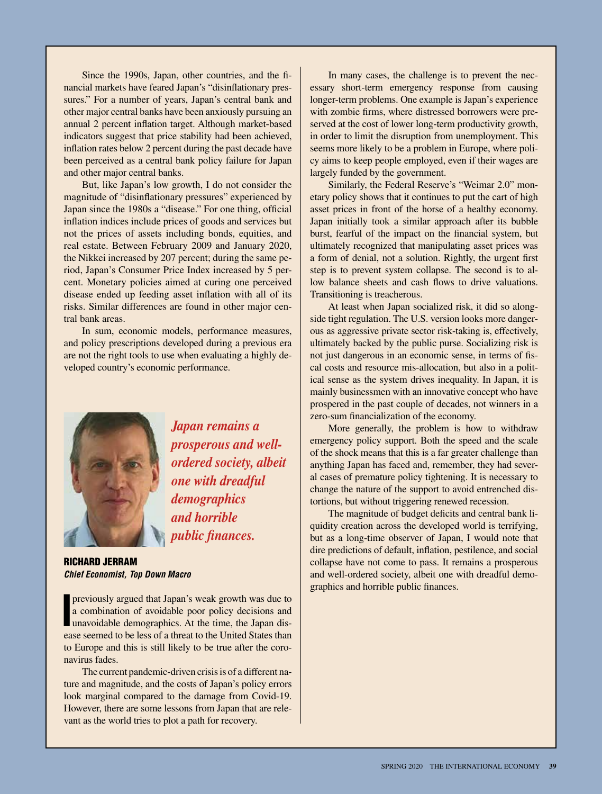Since the 1990s, Japan, other countries, and the financial markets have feared Japan's "disinflationary pressures." For a number of years, Japan's central bank and other major central banks have been anxiously pursuing an annual 2 percent inflation target. Although market-based indicators suggest that price stability had been achieved, inflation rates below 2 percent during the past decade have been perceived as a central bank policy failure for Japan and other major central banks.

But, like Japan's low growth, I do not consider the magnitude of "disinflationary pressures" experienced by Japan since the 1980s a "disease." For one thing, official inflation indices include prices of goods and services but not the prices of assets including bonds, equities, and real estate. Between February 2009 and January 2020, the Nikkei increased by 207 percent; during the same period, Japan's Consumer Price Index increased by 5 percent. Monetary policies aimed at curing one perceived disease ended up feeding asset inflation with all of its risks. Similar differences are found in other major central bank areas.

In sum, economic models, performance measures, and policy prescriptions developed during a previous era are not the right tools to use when evaluating a highly developed country's economic performance.



*Japan remains a prosperous and wellordered society, albeit one with dreadful demographics and horrible public finances.*

RICHARD JERRAM *Chief Economist, Top Down Macro*

**I previously argued that Japan's weak growth was due to** a combination of avoidable poor policy decisions and unavoidable demographics. At the time, the Japan disa combination of avoidable poor policy decisions and ease seemed to be less of a threat to the United States than to Europe and this is still likely to be true after the coronavirus fades.

The current pandemic-driven crisis is of a different nature and magnitude, and the costs of Japan's policy errors look marginal compared to the damage from Covid-19. However, there are some lessons from Japan that are relevant as the world tries to plot a path for recovery.

In many cases, the challenge is to prevent the necessary short-term emergency response from causing longer-term problems. One example is Japan's experience with zombie firms, where distressed borrowers were preserved at the cost of lower long-term productivity growth, in order to limit the disruption from unemployment. This seems more likely to be a problem in Europe, where policy aims to keep people employed, even if their wages are largely funded by the government.

Similarly, the Federal Reserve's "Weimar 2.0" monetary policy shows that it continues to put the cart of high asset prices in front of the horse of a healthy economy. Japan initially took a similar approach after its bubble burst, fearful of the impact on the financial system, but ultimately recognized that manipulating asset prices was a form of denial, not a solution. Rightly, the urgent first step is to prevent system collapse. The second is to allow balance sheets and cash flows to drive valuations. Transitioning is treacherous.

At least when Japan socialized risk, it did so alongside tight regulation. The U.S. version looks more dangerous as aggressive private sector risk-taking is, effectively, ultimately backed by the public purse. Socializing risk is not just dangerous in an economic sense, in terms of fiscal costs and resource mis-allocation, but also in a political sense as the system drives inequality. In Japan, it is mainly businessmen with an innovative concept who have prospered in the past couple of decades, not winners in a zero-sum financialization of the economy.

More generally, the problem is how to withdraw emergency policy support. Both the speed and the scale of the shock means that this is a far greater challenge than anything Japan has faced and, remember, they had several cases of premature policy tightening. It is necessary to change the nature of the support to avoid entrenched distortions, but without triggering renewed recession.

The magnitude of budget deficits and central bank liquidity creation across the developed world is terrifying, but as a long-time observer of Japan, I would note that dire predictions of default, inflation, pestilence, and social collapse have not come to pass. It remains a prosperous and well-ordered society, albeit one with dreadful demographics and horrible public finances.